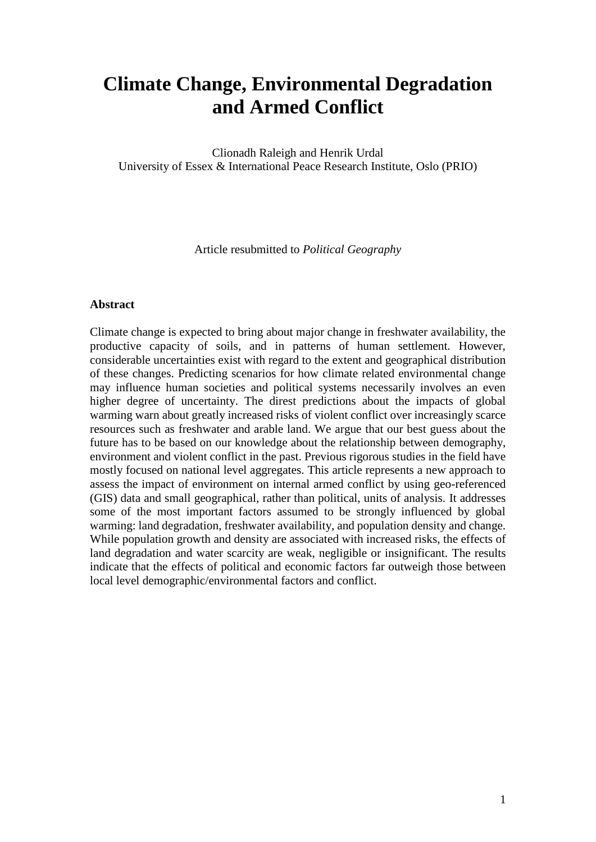# **Climate Change, Environmental Degradation and Armed Conflict**

Clionadh Raleigh and Henrik Urdal University of Essex & International Peace Research Institute, Oslo (PRIO)

Article resubmitted to *Political Geography*

#### **Abstract**

Climate change is expected to bring about major change in freshwater availability, the productive capacity of soils, and in patterns of human settlement. However, considerable uncertainties exist with regard to the extent and geographical distribution of these changes. Predicting scenarios for how climate related environmental change may influence human societies and political systems necessarily involves an even higher degree of uncertainty. The direst predictions about the impacts of global warming warn about greatly increased risks of violent conflict over increasingly scarce resources such as freshwater and arable land. We argue that our best guess about the future has to be based on our knowledge about the relationship between demography, environment and violent conflict in the past. Previous rigorous studies in the field have mostly focused on national level aggregates. This article represents a new approach to assess the impact of environment on internal armed conflict by using geo-referenced (GIS) data and small geographical, rather than political, units of analysis. It addresses some of the most important factors assumed to be strongly influenced by global warming: land degradation, freshwater availability, and population density and change. While population growth and density are associated with increased risks, the effects of land degradation and water scarcity are weak, negligible or insignificant. The results indicate that the effects of political and economic factors far outweigh those between local level demographic/environmental factors and conflict.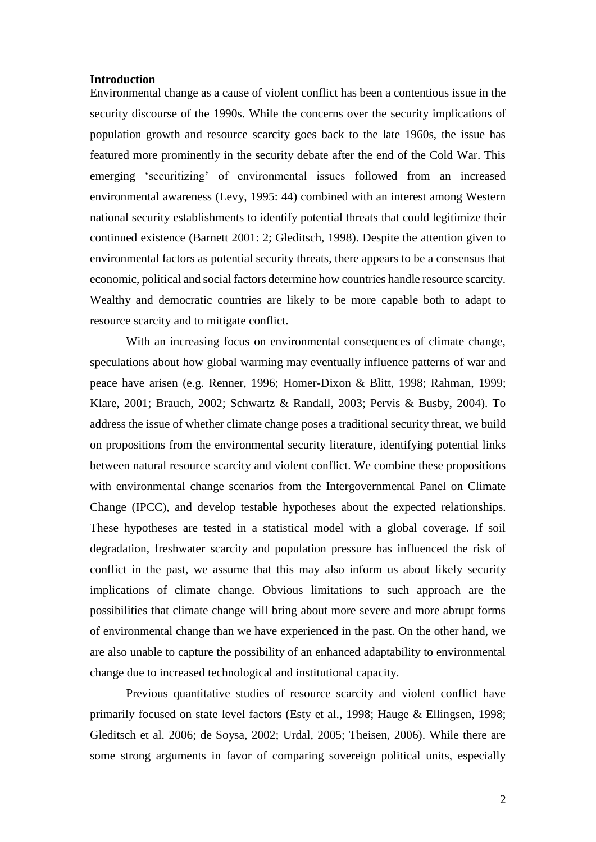#### **Introduction**

Environmental change as a cause of violent conflict has been a contentious issue in the security discourse of the 1990s. While the concerns over the security implications of population growth and resource scarcity goes back to the late 1960s, the issue has featured more prominently in the security debate after the end of the Cold War. This emerging 'securitizing' of environmental issues followed from an increased environmental awareness (Levy, 1995: 44) combined with an interest among Western national security establishments to identify potential threats that could legitimize their continued existence (Barnett 2001: 2; Gleditsch, 1998). Despite the attention given to environmental factors as potential security threats, there appears to be a consensus that economic, political and social factors determine how countries handle resource scarcity. Wealthy and democratic countries are likely to be more capable both to adapt to resource scarcity and to mitigate conflict.

With an increasing focus on environmental consequences of climate change, speculations about how global warming may eventually influence patterns of war and peace have arisen (e.g. Renner, 1996; Homer-Dixon & Blitt, 1998; Rahman, 1999; Klare, 2001; Brauch, 2002; Schwartz & Randall, 2003; Pervis & Busby, 2004). To address the issue of whether climate change poses a traditional security threat, we build on propositions from the environmental security literature, identifying potential links between natural resource scarcity and violent conflict. We combine these propositions with environmental change scenarios from the Intergovernmental Panel on Climate Change (IPCC), and develop testable hypotheses about the expected relationships. These hypotheses are tested in a statistical model with a global coverage. If soil degradation, freshwater scarcity and population pressure has influenced the risk of conflict in the past, we assume that this may also inform us about likely security implications of climate change. Obvious limitations to such approach are the possibilities that climate change will bring about more severe and more abrupt forms of environmental change than we have experienced in the past. On the other hand, we are also unable to capture the possibility of an enhanced adaptability to environmental change due to increased technological and institutional capacity.

Previous quantitative studies of resource scarcity and violent conflict have primarily focused on state level factors (Esty et al., 1998; Hauge & Ellingsen, 1998; Gleditsch et al. 2006; de Soysa, 2002; Urdal, 2005; Theisen, 2006). While there are some strong arguments in favor of comparing sovereign political units, especially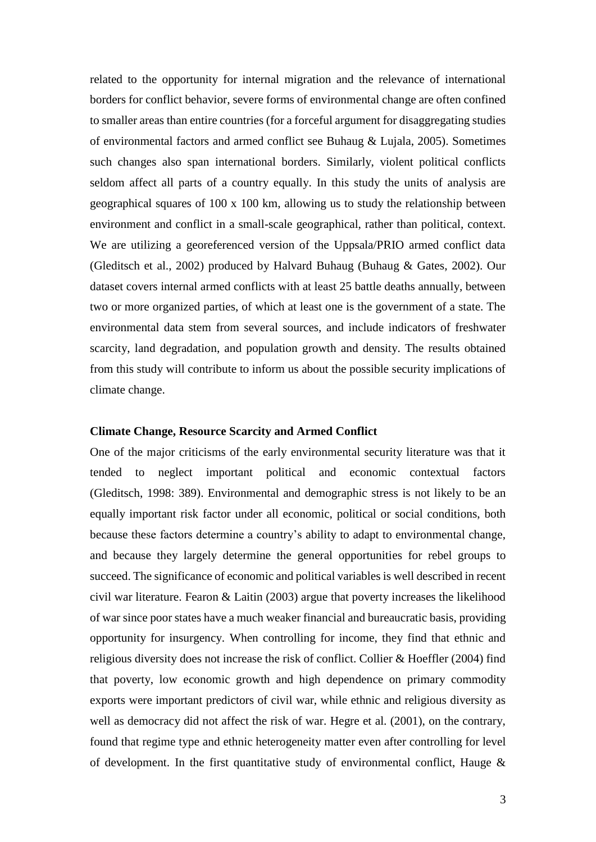related to the opportunity for internal migration and the relevance of international borders for conflict behavior, severe forms of environmental change are often confined to smaller areas than entire countries (for a forceful argument for disaggregating studies of environmental factors and armed conflict see Buhaug & Lujala, 2005). Sometimes such changes also span international borders. Similarly, violent political conflicts seldom affect all parts of a country equally. In this study the units of analysis are geographical squares of 100 x 100 km, allowing us to study the relationship between environment and conflict in a small-scale geographical, rather than political, context. We are utilizing a georeferenced version of the Uppsala/PRIO armed conflict data (Gleditsch et al., 2002) produced by Halvard Buhaug (Buhaug & Gates, 2002). Our dataset covers internal armed conflicts with at least 25 battle deaths annually, between two or more organized parties, of which at least one is the government of a state. The environmental data stem from several sources, and include indicators of freshwater scarcity, land degradation, and population growth and density. The results obtained from this study will contribute to inform us about the possible security implications of climate change.

#### **Climate Change, Resource Scarcity and Armed Conflict**

One of the major criticisms of the early environmental security literature was that it tended to neglect important political and economic contextual factors (Gleditsch, 1998: 389). Environmental and demographic stress is not likely to be an equally important risk factor under all economic, political or social conditions, both because these factors determine a country's ability to adapt to environmental change, and because they largely determine the general opportunities for rebel groups to succeed. The significance of economic and political variables is well described in recent civil war literature. Fearon & Laitin (2003) argue that poverty increases the likelihood of war since poor states have a much weaker financial and bureaucratic basis, providing opportunity for insurgency. When controlling for income, they find that ethnic and religious diversity does not increase the risk of conflict. Collier & Hoeffler (2004) find that poverty, low economic growth and high dependence on primary commodity exports were important predictors of civil war, while ethnic and religious diversity as well as democracy did not affect the risk of war. Hegre et al. (2001), on the contrary, found that regime type and ethnic heterogeneity matter even after controlling for level of development. In the first quantitative study of environmental conflict, Hauge  $\&$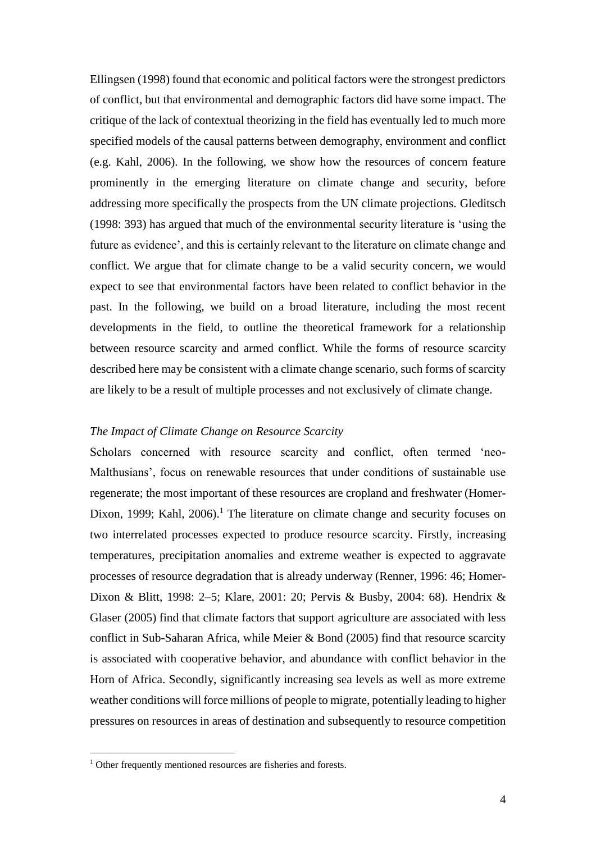Ellingsen (1998) found that economic and political factors were the strongest predictors of conflict, but that environmental and demographic factors did have some impact. The critique of the lack of contextual theorizing in the field has eventually led to much more specified models of the causal patterns between demography, environment and conflict (e.g. Kahl, 2006). In the following, we show how the resources of concern feature prominently in the emerging literature on climate change and security, before addressing more specifically the prospects from the UN climate projections. Gleditsch (1998: 393) has argued that much of the environmental security literature is 'using the future as evidence', and this is certainly relevant to the literature on climate change and conflict. We argue that for climate change to be a valid security concern, we would expect to see that environmental factors have been related to conflict behavior in the past. In the following, we build on a broad literature, including the most recent developments in the field, to outline the theoretical framework for a relationship between resource scarcity and armed conflict. While the forms of resource scarcity described here may be consistent with a climate change scenario, such forms of scarcity are likely to be a result of multiple processes and not exclusively of climate change.

# *The Impact of Climate Change on Resource Scarcity*

Scholars concerned with resource scarcity and conflict, often termed 'neo-Malthusians', focus on renewable resources that under conditions of sustainable use regenerate; the most important of these resources are cropland and freshwater (Homer-Dixon, 1999; Kahl,  $2006$ ).<sup>1</sup> The literature on climate change and security focuses on two interrelated processes expected to produce resource scarcity. Firstly, increasing temperatures, precipitation anomalies and extreme weather is expected to aggravate processes of resource degradation that is already underway (Renner, 1996: 46; Homer-Dixon & Blitt, 1998: 2–5; Klare, 2001: 20; Pervis & Busby, 2004: 68). Hendrix & Glaser (2005) find that climate factors that support agriculture are associated with less conflict in Sub-Saharan Africa, while Meier & Bond (2005) find that resource scarcity is associated with cooperative behavior, and abundance with conflict behavior in the Horn of Africa. Secondly, significantly increasing sea levels as well as more extreme weather conditions will force millions of people to migrate, potentially leading to higher pressures on resources in areas of destination and subsequently to resource competition

 $\overline{a}$ 

<sup>&</sup>lt;sup>1</sup> Other frequently mentioned resources are fisheries and forests.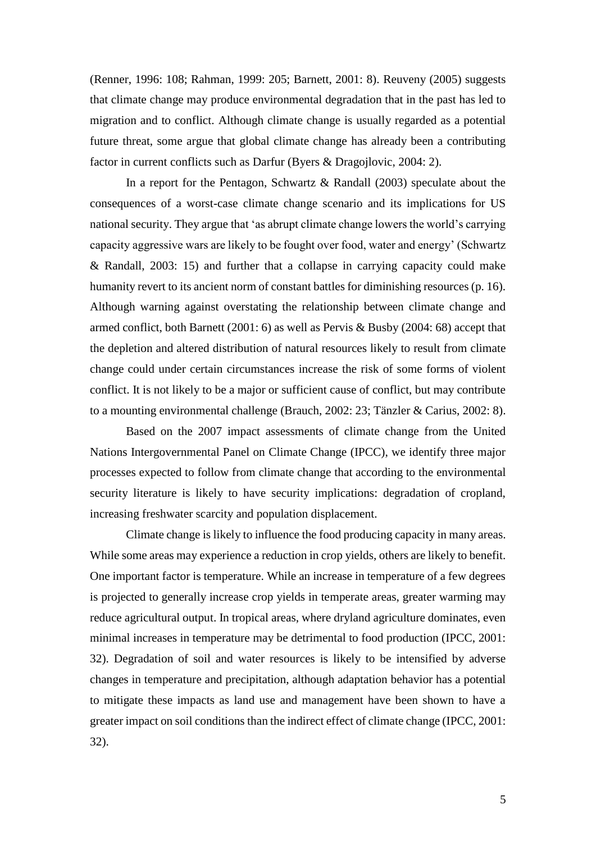(Renner, 1996: 108; Rahman, 1999: 205; Barnett, 2001: 8). Reuveny (2005) suggests that climate change may produce environmental degradation that in the past has led to migration and to conflict. Although climate change is usually regarded as a potential future threat, some argue that global climate change has already been a contributing factor in current conflicts such as Darfur (Byers & Dragojlovic, 2004: 2).

In a report for the Pentagon, Schwartz & Randall (2003) speculate about the consequences of a worst-case climate change scenario and its implications for US national security. They argue that 'as abrupt climate change lowers the world's carrying capacity aggressive wars are likely to be fought over food, water and energy' (Schwartz & Randall, 2003: 15) and further that a collapse in carrying capacity could make humanity revert to its ancient norm of constant battles for diminishing resources (p. 16). Although warning against overstating the relationship between climate change and armed conflict, both Barnett (2001: 6) as well as Pervis & Busby (2004: 68) accept that the depletion and altered distribution of natural resources likely to result from climate change could under certain circumstances increase the risk of some forms of violent conflict. It is not likely to be a major or sufficient cause of conflict, but may contribute to a mounting environmental challenge (Brauch, 2002: 23; Tänzler & Carius, 2002: 8).

Based on the 2007 impact assessments of climate change from the United Nations Intergovernmental Panel on Climate Change (IPCC), we identify three major processes expected to follow from climate change that according to the environmental security literature is likely to have security implications: degradation of cropland, increasing freshwater scarcity and population displacement.

Climate change is likely to influence the food producing capacity in many areas. While some areas may experience a reduction in crop yields, others are likely to benefit. One important factor is temperature. While an increase in temperature of a few degrees is projected to generally increase crop yields in temperate areas, greater warming may reduce agricultural output. In tropical areas, where dryland agriculture dominates, even minimal increases in temperature may be detrimental to food production (IPCC, 2001: 32). Degradation of soil and water resources is likely to be intensified by adverse changes in temperature and precipitation, although adaptation behavior has a potential to mitigate these impacts as land use and management have been shown to have a greater impact on soil conditions than the indirect effect of climate change (IPCC, 2001: 32).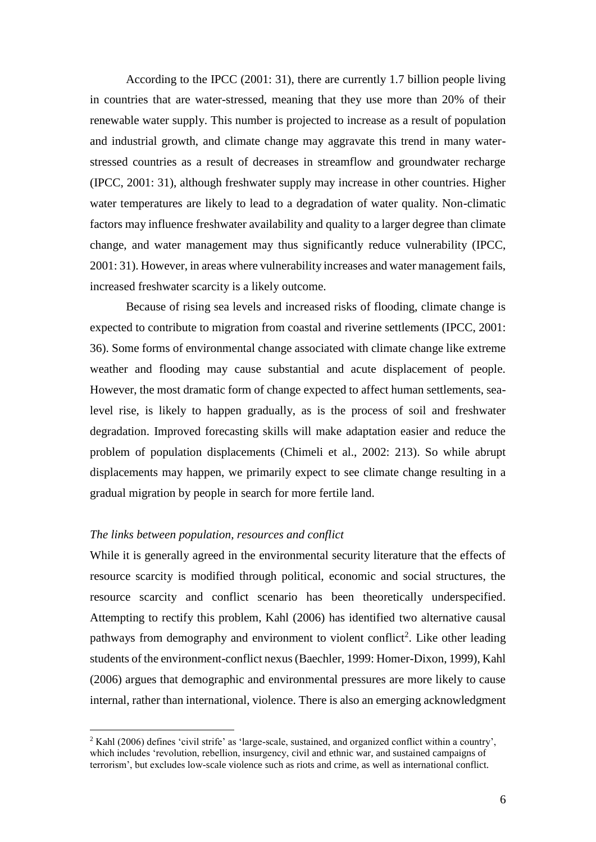According to the IPCC (2001: 31), there are currently 1.7 billion people living in countries that are water-stressed, meaning that they use more than 20% of their renewable water supply. This number is projected to increase as a result of population and industrial growth, and climate change may aggravate this trend in many waterstressed countries as a result of decreases in streamflow and groundwater recharge (IPCC, 2001: 31), although freshwater supply may increase in other countries. Higher water temperatures are likely to lead to a degradation of water quality. Non-climatic factors may influence freshwater availability and quality to a larger degree than climate change, and water management may thus significantly reduce vulnerability (IPCC, 2001: 31). However, in areas where vulnerability increases and water management fails, increased freshwater scarcity is a likely outcome.

Because of rising sea levels and increased risks of flooding, climate change is expected to contribute to migration from coastal and riverine settlements (IPCC, 2001: 36). Some forms of environmental change associated with climate change like extreme weather and flooding may cause substantial and acute displacement of people. However, the most dramatic form of change expected to affect human settlements, sealevel rise, is likely to happen gradually, as is the process of soil and freshwater degradation. Improved forecasting skills will make adaptation easier and reduce the problem of population displacements (Chimeli et al., 2002: 213). So while abrupt displacements may happen, we primarily expect to see climate change resulting in a gradual migration by people in search for more fertile land.

#### *The links between population, resources and conflict*

 $\overline{a}$ 

While it is generally agreed in the environmental security literature that the effects of resource scarcity is modified through political, economic and social structures, the resource scarcity and conflict scenario has been theoretically underspecified. Attempting to rectify this problem, Kahl (2006) has identified two alternative causal pathways from demography and environment to violent conflict<sup>2</sup>. Like other leading students of the environment-conflict nexus (Baechler, 1999: Homer-Dixon, 1999), Kahl (2006) argues that demographic and environmental pressures are more likely to cause internal, rather than international, violence. There is also an emerging acknowledgment

<sup>2</sup> Kahl (2006) defines 'civil strife' as 'large-scale, sustained, and organized conflict within a country', which includes 'revolution, rebellion, insurgency, civil and ethnic war, and sustained campaigns of terrorism', but excludes low-scale violence such as riots and crime, as well as international conflict.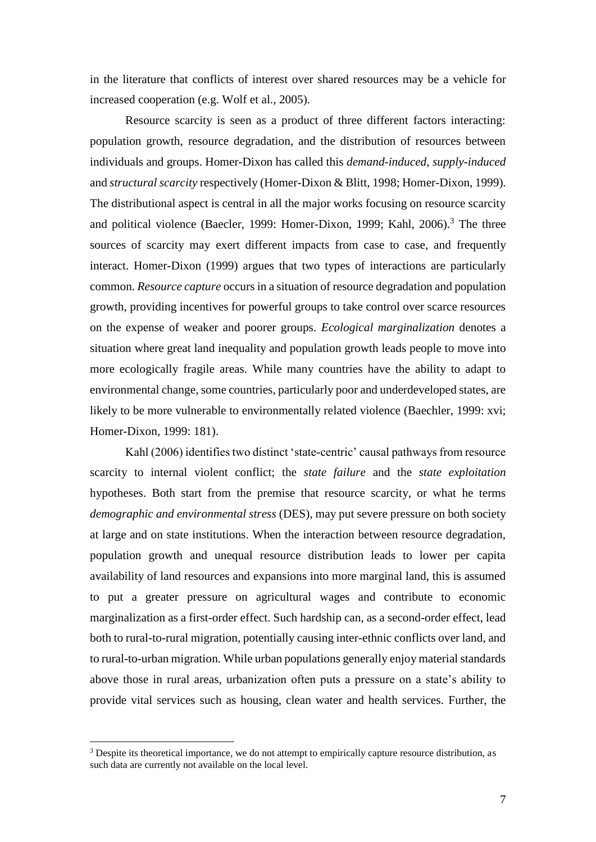in the literature that conflicts of interest over shared resources may be a vehicle for increased cooperation (e.g. Wolf et al., 2005).

Resource scarcity is seen as a product of three different factors interacting: population growth, resource degradation, and the distribution of resources between individuals and groups. Homer-Dixon has called this *demand-induced*, *supply-induced* and *structural scarcity* respectively (Homer-Dixon & Blitt, 1998; Homer-Dixon, 1999). The distributional aspect is central in all the major works focusing on resource scarcity and political violence (Baecler, 1999: Homer-Dixon, 1999; Kahl, 2006).<sup>3</sup> The three sources of scarcity may exert different impacts from case to case, and frequently interact. Homer-Dixon (1999) argues that two types of interactions are particularly common. *Resource capture* occurs in a situation of resource degradation and population growth, providing incentives for powerful groups to take control over scarce resources on the expense of weaker and poorer groups. *Ecological marginalization* denotes a situation where great land inequality and population growth leads people to move into more ecologically fragile areas. While many countries have the ability to adapt to environmental change, some countries, particularly poor and underdeveloped states, are likely to be more vulnerable to environmentally related violence (Baechler, 1999: xvi; Homer-Dixon, 1999: 181).

Kahl (2006) identifies two distinct 'state-centric' causal pathways from resource scarcity to internal violent conflict; the *state failure* and the *state exploitation* hypotheses. Both start from the premise that resource scarcity, or what he terms *demographic and environmental stress* (DES), may put severe pressure on both society at large and on state institutions. When the interaction between resource degradation, population growth and unequal resource distribution leads to lower per capita availability of land resources and expansions into more marginal land, this is assumed to put a greater pressure on agricultural wages and contribute to economic marginalization as a first-order effect. Such hardship can, as a second-order effect, lead both to rural-to-rural migration, potentially causing inter-ethnic conflicts over land, and to rural-to-urban migration. While urban populations generally enjoy material standards above those in rural areas, urbanization often puts a pressure on a state's ability to provide vital services such as housing, clean water and health services. Further, the

<sup>&</sup>lt;sup>3</sup> Despite its theoretical importance, we do not attempt to empirically capture resource distribution, as such data are currently not available on the local level.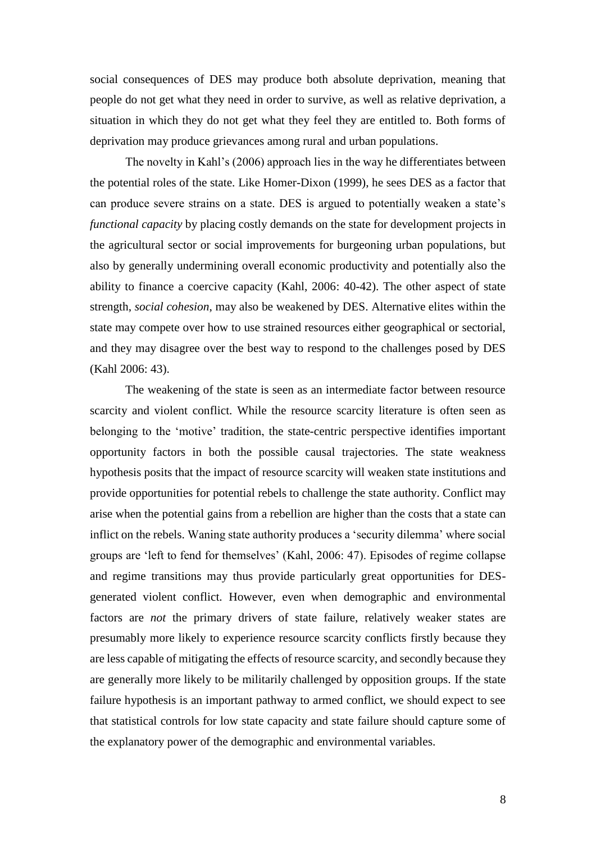social consequences of DES may produce both absolute deprivation, meaning that people do not get what they need in order to survive, as well as relative deprivation, a situation in which they do not get what they feel they are entitled to. Both forms of deprivation may produce grievances among rural and urban populations.

The novelty in Kahl's (2006) approach lies in the way he differentiates between the potential roles of the state. Like Homer-Dixon (1999), he sees DES as a factor that can produce severe strains on a state. DES is argued to potentially weaken a state's *functional capacity* by placing costly demands on the state for development projects in the agricultural sector or social improvements for burgeoning urban populations, but also by generally undermining overall economic productivity and potentially also the ability to finance a coercive capacity (Kahl, 2006: 40-42). The other aspect of state strength, *social cohesion*, may also be weakened by DES. Alternative elites within the state may compete over how to use strained resources either geographical or sectorial, and they may disagree over the best way to respond to the challenges posed by DES (Kahl 2006: 43).

The weakening of the state is seen as an intermediate factor between resource scarcity and violent conflict. While the resource scarcity literature is often seen as belonging to the 'motive' tradition, the state-centric perspective identifies important opportunity factors in both the possible causal trajectories. The state weakness hypothesis posits that the impact of resource scarcity will weaken state institutions and provide opportunities for potential rebels to challenge the state authority. Conflict may arise when the potential gains from a rebellion are higher than the costs that a state can inflict on the rebels. Waning state authority produces a 'security dilemma' where social groups are 'left to fend for themselves' (Kahl, 2006: 47). Episodes of regime collapse and regime transitions may thus provide particularly great opportunities for DESgenerated violent conflict. However, even when demographic and environmental factors are *not* the primary drivers of state failure, relatively weaker states are presumably more likely to experience resource scarcity conflicts firstly because they are less capable of mitigating the effects of resource scarcity, and secondly because they are generally more likely to be militarily challenged by opposition groups. If the state failure hypothesis is an important pathway to armed conflict, we should expect to see that statistical controls for low state capacity and state failure should capture some of the explanatory power of the demographic and environmental variables.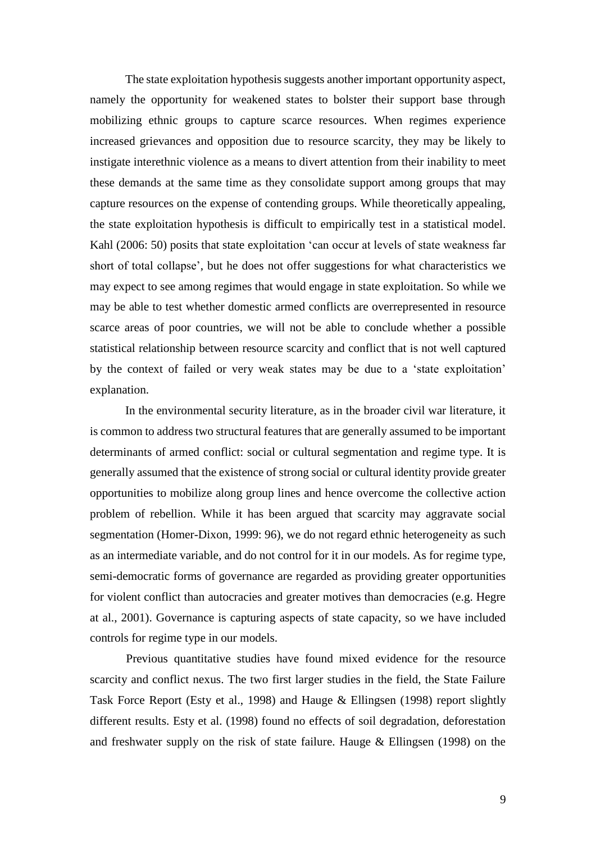The state exploitation hypothesis suggests another important opportunity aspect, namely the opportunity for weakened states to bolster their support base through mobilizing ethnic groups to capture scarce resources. When regimes experience increased grievances and opposition due to resource scarcity, they may be likely to instigate interethnic violence as a means to divert attention from their inability to meet these demands at the same time as they consolidate support among groups that may capture resources on the expense of contending groups. While theoretically appealing, the state exploitation hypothesis is difficult to empirically test in a statistical model. Kahl (2006: 50) posits that state exploitation 'can occur at levels of state weakness far short of total collapse', but he does not offer suggestions for what characteristics we may expect to see among regimes that would engage in state exploitation. So while we may be able to test whether domestic armed conflicts are overrepresented in resource scarce areas of poor countries, we will not be able to conclude whether a possible statistical relationship between resource scarcity and conflict that is not well captured by the context of failed or very weak states may be due to a 'state exploitation' explanation.

In the environmental security literature, as in the broader civil war literature, it is common to address two structural features that are generally assumed to be important determinants of armed conflict: social or cultural segmentation and regime type. It is generally assumed that the existence of strong social or cultural identity provide greater opportunities to mobilize along group lines and hence overcome the collective action problem of rebellion. While it has been argued that scarcity may aggravate social segmentation (Homer-Dixon, 1999: 96), we do not regard ethnic heterogeneity as such as an intermediate variable, and do not control for it in our models. As for regime type, semi-democratic forms of governance are regarded as providing greater opportunities for violent conflict than autocracies and greater motives than democracies (e.g. Hegre at al., 2001). Governance is capturing aspects of state capacity, so we have included controls for regime type in our models.

Previous quantitative studies have found mixed evidence for the resource scarcity and conflict nexus. The two first larger studies in the field, the State Failure Task Force Report (Esty et al., 1998) and Hauge & Ellingsen (1998) report slightly different results. Esty et al. (1998) found no effects of soil degradation, deforestation and freshwater supply on the risk of state failure. Hauge & Ellingsen (1998) on the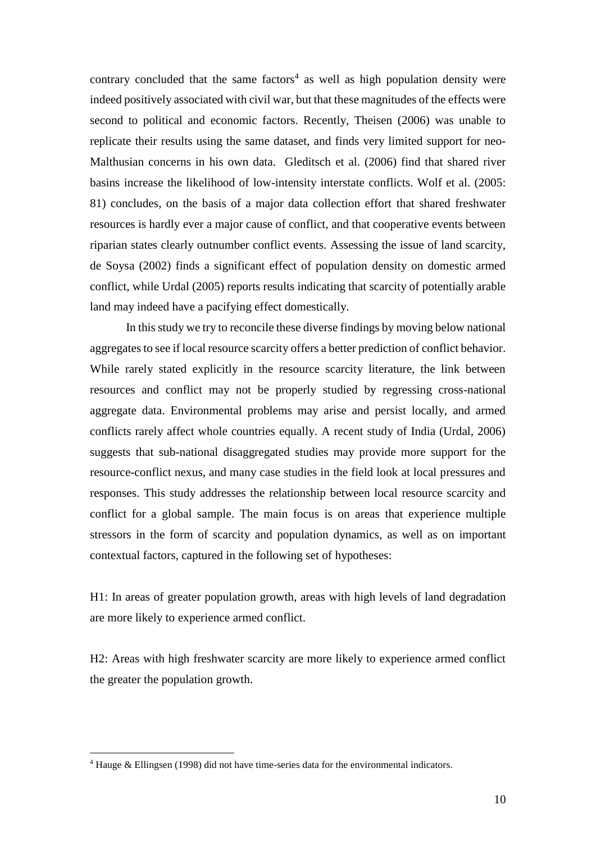contrary concluded that the same  $factors<sup>4</sup>$  as well as high population density were indeed positively associated with civil war, but that these magnitudes of the effects were second to political and economic factors. Recently, Theisen (2006) was unable to replicate their results using the same dataset, and finds very limited support for neo-Malthusian concerns in his own data. Gleditsch et al. (2006) find that shared river basins increase the likelihood of low-intensity interstate conflicts. Wolf et al. (2005: 81) concludes, on the basis of a major data collection effort that shared freshwater resources is hardly ever a major cause of conflict, and that cooperative events between riparian states clearly outnumber conflict events. Assessing the issue of land scarcity, de Soysa (2002) finds a significant effect of population density on domestic armed conflict, while Urdal (2005) reports results indicating that scarcity of potentially arable land may indeed have a pacifying effect domestically.

In this study we try to reconcile these diverse findings by moving below national aggregates to see if local resource scarcity offers a better prediction of conflict behavior. While rarely stated explicitly in the resource scarcity literature, the link between resources and conflict may not be properly studied by regressing cross-national aggregate data. Environmental problems may arise and persist locally, and armed conflicts rarely affect whole countries equally. A recent study of India (Urdal, 2006) suggests that sub-national disaggregated studies may provide more support for the resource-conflict nexus, and many case studies in the field look at local pressures and responses. This study addresses the relationship between local resource scarcity and conflict for a global sample. The main focus is on areas that experience multiple stressors in the form of scarcity and population dynamics, as well as on important contextual factors, captured in the following set of hypotheses:

H1: In areas of greater population growth, areas with high levels of land degradation are more likely to experience armed conflict.

H2: Areas with high freshwater scarcity are more likely to experience armed conflict the greater the population growth.

 $\overline{a}$ 

<sup>4</sup> Hauge & Ellingsen (1998) did not have time-series data for the environmental indicators.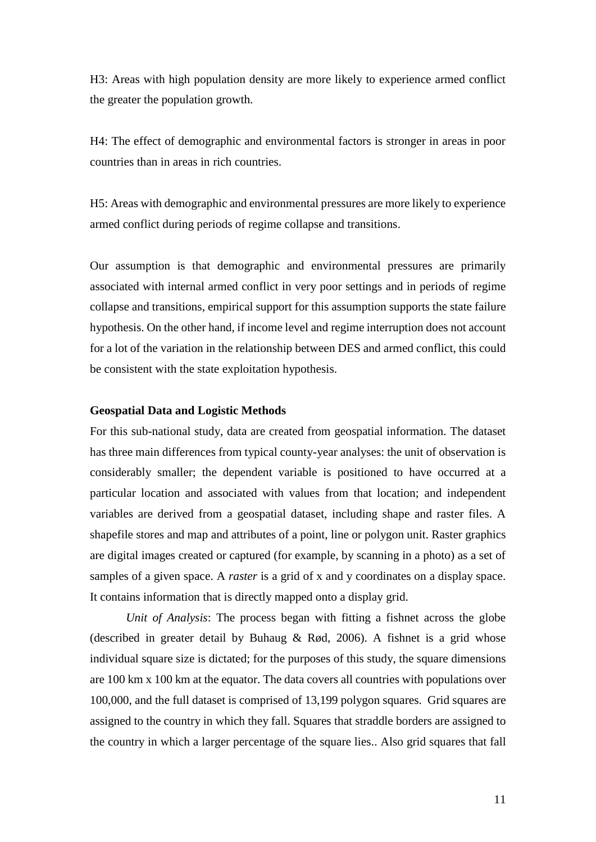H3: Areas with high population density are more likely to experience armed conflict the greater the population growth.

H4: The effect of demographic and environmental factors is stronger in areas in poor countries than in areas in rich countries.

H5: Areas with demographic and environmental pressures are more likely to experience armed conflict during periods of regime collapse and transitions.

Our assumption is that demographic and environmental pressures are primarily associated with internal armed conflict in very poor settings and in periods of regime collapse and transitions, empirical support for this assumption supports the state failure hypothesis. On the other hand, if income level and regime interruption does not account for a lot of the variation in the relationship between DES and armed conflict, this could be consistent with the state exploitation hypothesis.

# **Geospatial Data and Logistic Methods**

For this sub-national study, data are created from geospatial information. The dataset has three main differences from typical county-year analyses: the unit of observation is considerably smaller; the dependent variable is positioned to have occurred at a particular location and associated with values from that location; and independent variables are derived from a geospatial dataset, including shape and raster files. A shapefile stores and map and attributes of a point, line or polygon unit. Raster graphics are digital images created or captured (for example, by scanning in a photo) as a set of samples of a given space. A *raster* is a grid of x and y coordinates on a display space. It contains information that is directly mapped onto a display grid.

*Unit of Analysis*: The process began with fitting a fishnet across the globe (described in greater detail by Buhaug & Rød, 2006). A fishnet is a grid whose individual square size is dictated; for the purposes of this study, the square dimensions are 100 km x 100 km at the equator. The data covers all countries with populations over 100,000, and the full dataset is comprised of 13,199 polygon squares. Grid squares are assigned to the country in which they fall. Squares that straddle borders are assigned to the country in which a larger percentage of the square lies.. Also grid squares that fall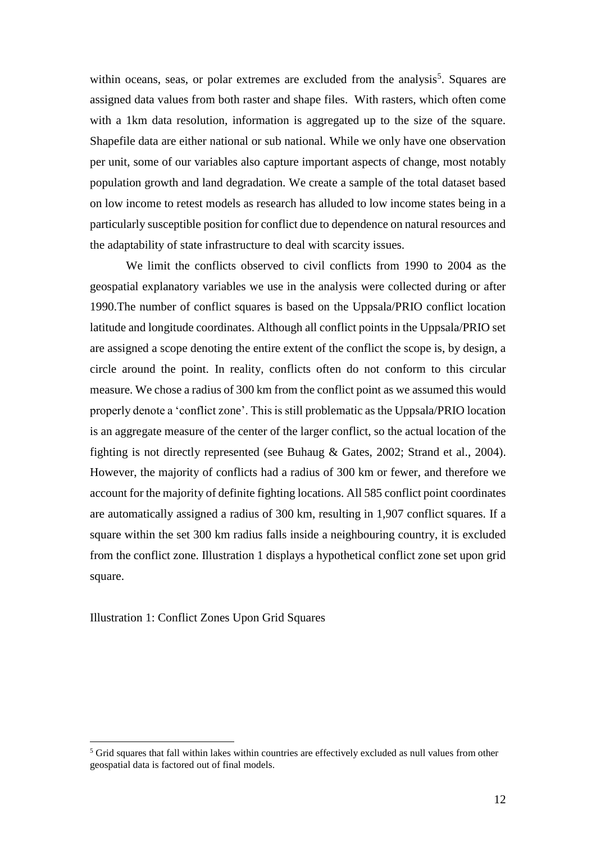within oceans, seas, or polar extremes are excluded from the analysis<sup>5</sup>. Squares are assigned data values from both raster and shape files. With rasters, which often come with a 1km data resolution, information is aggregated up to the size of the square. Shapefile data are either national or sub national. While we only have one observation per unit, some of our variables also capture important aspects of change, most notably population growth and land degradation. We create a sample of the total dataset based on low income to retest models as research has alluded to low income states being in a particularly susceptible position for conflict due to dependence on natural resources and the adaptability of state infrastructure to deal with scarcity issues.

We limit the conflicts observed to civil conflicts from 1990 to 2004 as the geospatial explanatory variables we use in the analysis were collected during or after 1990.The number of conflict squares is based on the Uppsala/PRIO conflict location latitude and longitude coordinates. Although all conflict points in the Uppsala/PRIO set are assigned a scope denoting the entire extent of the conflict the scope is, by design, a circle around the point. In reality, conflicts often do not conform to this circular measure. We chose a radius of 300 km from the conflict point as we assumed this would properly denote a 'conflict zone'. This is still problematic as the Uppsala/PRIO location is an aggregate measure of the center of the larger conflict, so the actual location of the fighting is not directly represented (see Buhaug & Gates, 2002; Strand et al., 2004). However, the majority of conflicts had a radius of 300 km or fewer, and therefore we account for the majority of definite fighting locations. All 585 conflict point coordinates are automatically assigned a radius of 300 km, resulting in 1,907 conflict squares. If a square within the set 300 km radius falls inside a neighbouring country, it is excluded from the conflict zone. Illustration 1 displays a hypothetical conflict zone set upon grid square.

Illustration 1: Conflict Zones Upon Grid Squares

<sup>&</sup>lt;sup>5</sup> Grid squares that fall within lakes within countries are effectively excluded as null values from other geospatial data is factored out of final models.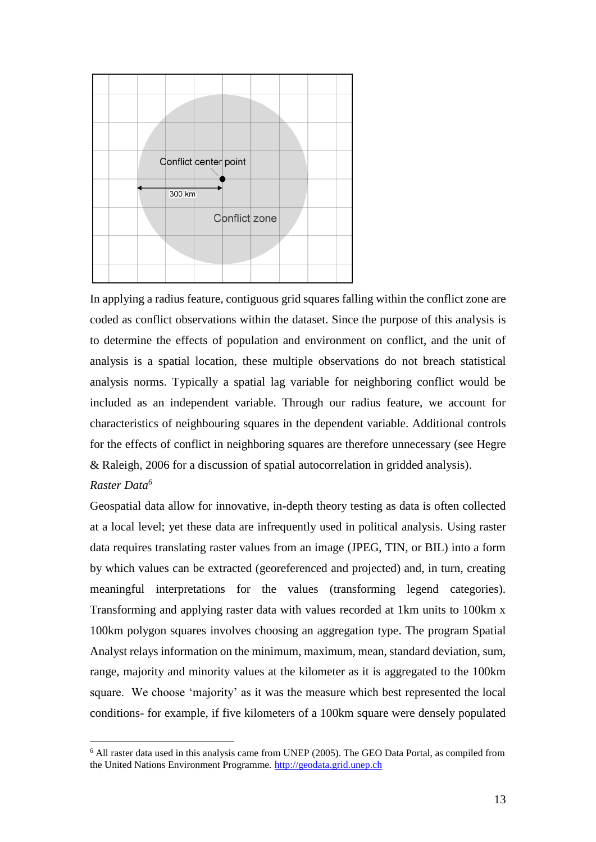

In applying a radius feature, contiguous grid squares falling within the conflict zone are coded as conflict observations within the dataset. Since the purpose of this analysis is to determine the effects of population and environment on conflict, and the unit of analysis is a spatial location, these multiple observations do not breach statistical analysis norms. Typically a spatial lag variable for neighboring conflict would be included as an independent variable. Through our radius feature, we account for characteristics of neighbouring squares in the dependent variable. Additional controls for the effects of conflict in neighboring squares are therefore unnecessary (see Hegre & Raleigh, 2006 for a discussion of spatial autocorrelation in gridded analysis).

# *Raster Data<sup>6</sup>*

Geospatial data allow for innovative, in-depth theory testing as data is often collected at a local level; yet these data are infrequently used in political analysis. Using raster data requires translating raster values from an image (JPEG, TIN, or BIL) into a form by which values can be extracted (georeferenced and projected) and, in turn, creating meaningful interpretations for the values (transforming legend categories). Transforming and applying raster data with values recorded at 1km units to 100km x 100km polygon squares involves choosing an aggregation type. The program Spatial Analyst relays information on the minimum, maximum, mean, standard deviation, sum, range, majority and minority values at the kilometer as it is aggregated to the 100km square. We choose 'majority' as it was the measure which best represented the local conditions- for example, if five kilometers of a 100km square were densely populated

<sup>6</sup> All raster data used in this analysis came from UNEP (2005). The GEO Data Portal, as compiled from the United Nations Environment Programme. [http://geodata.grid.unep.ch](http://geodata.grid.unep.ch/)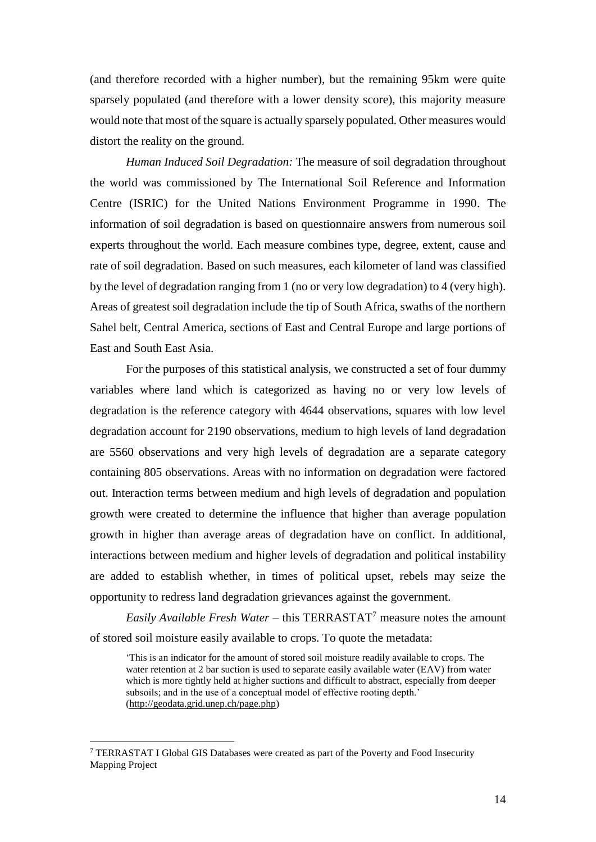(and therefore recorded with a higher number), but the remaining 95km were quite sparsely populated (and therefore with a lower density score), this majority measure would note that most of the square is actually sparsely populated. Other measures would distort the reality on the ground.

*Human Induced Soil Degradation:* The measure of soil degradation throughout the world was commissioned by The International Soil Reference and Information Centre (ISRIC) for the United Nations Environment Programme in 1990. The information of soil degradation is based on questionnaire answers from numerous soil experts throughout the world. Each measure combines type, degree, extent, cause and rate of soil degradation. Based on such measures, each kilometer of land was classified by the level of degradation ranging from 1 (no or very low degradation) to 4 (very high). Areas of greatest soil degradation include the tip of South Africa, swaths of the northern Sahel belt, Central America, sections of East and Central Europe and large portions of East and South East Asia.

For the purposes of this statistical analysis, we constructed a set of four dummy variables where land which is categorized as having no or very low levels of degradation is the reference category with 4644 observations, squares with low level degradation account for 2190 observations, medium to high levels of land degradation are 5560 observations and very high levels of degradation are a separate category containing 805 observations. Areas with no information on degradation were factored out. Interaction terms between medium and high levels of degradation and population growth were created to determine the influence that higher than average population growth in higher than average areas of degradation have on conflict. In additional, interactions between medium and higher levels of degradation and political instability are added to establish whether, in times of political upset, rebels may seize the opportunity to redress land degradation grievances against the government.

*Easily Available Fresh Water* – this TERRASTAT<sup>7</sup> measure notes the amount of stored soil moisture easily available to crops. To quote the metadata:

'This is an indicator for the amount of stored soil moisture readily available to crops. The water retention at 2 bar suction is used to separate easily available water (EAV) from water which is more tightly held at higher suctions and difficult to abstract, especially from deeper subsoils; and in the use of a conceptual model of effective rooting depth.' [\(http://geodata.grid.unep.ch/page.php\)](http://geodata.grid.unep.ch/page.php)

<sup>7</sup> TERRASTAT I Global GIS Databases were created as part of the Poverty and Food Insecurity Mapping Project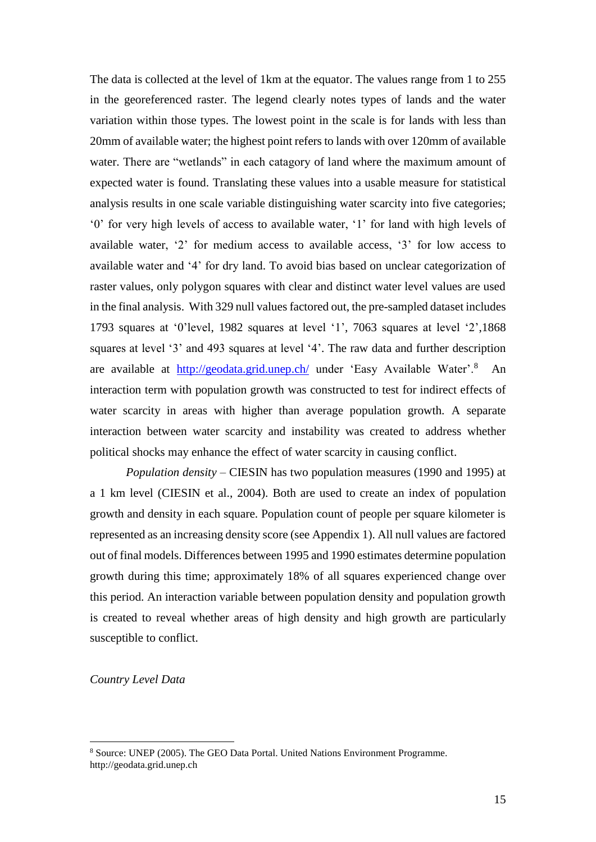The data is collected at the level of 1km at the equator. The values range from 1 to 255 in the georeferenced raster. The legend clearly notes types of lands and the water variation within those types. The lowest point in the scale is for lands with less than 20mm of available water; the highest point refers to lands with over 120mm of available water. There are "wetlands" in each catagory of land where the maximum amount of expected water is found. Translating these values into a usable measure for statistical analysis results in one scale variable distinguishing water scarcity into five categories; '0' for very high levels of access to available water, '1' for land with high levels of available water, '2' for medium access to available access, '3' for low access to available water and '4' for dry land. To avoid bias based on unclear categorization of raster values, only polygon squares with clear and distinct water level values are used in the final analysis. With 329 null values factored out, the pre-sampled dataset includes 1793 squares at '0'level, 1982 squares at level '1', 7063 squares at level '2',1868 squares at level '3' and 493 squares at level '4'. The raw data and further description are available at <http://geodata.grid.unep.ch/> under 'Easy Available Water'.<sup>8</sup> An interaction term with population growth was constructed to test for indirect effects of water scarcity in areas with higher than average population growth. A separate interaction between water scarcity and instability was created to address whether political shocks may enhance the effect of water scarcity in causing conflict.

*Population density* – CIESIN has two population measures (1990 and 1995) at a 1 km level (CIESIN et al., 2004). Both are used to create an index of population growth and density in each square. Population count of people per square kilometer is represented as an increasing density score (see Appendix 1). All null values are factored out of final models. Differences between 1995 and 1990 estimates determine population growth during this time; approximately 18% of all squares experienced change over this period. An interaction variable between population density and population growth is created to reveal whether areas of high density and high growth are particularly susceptible to conflict.

#### *Country Level Data*

<sup>8</sup> Source: UNEP (2005). The GEO Data Portal. United Nations Environment Programme. http://geodata.grid.unep.ch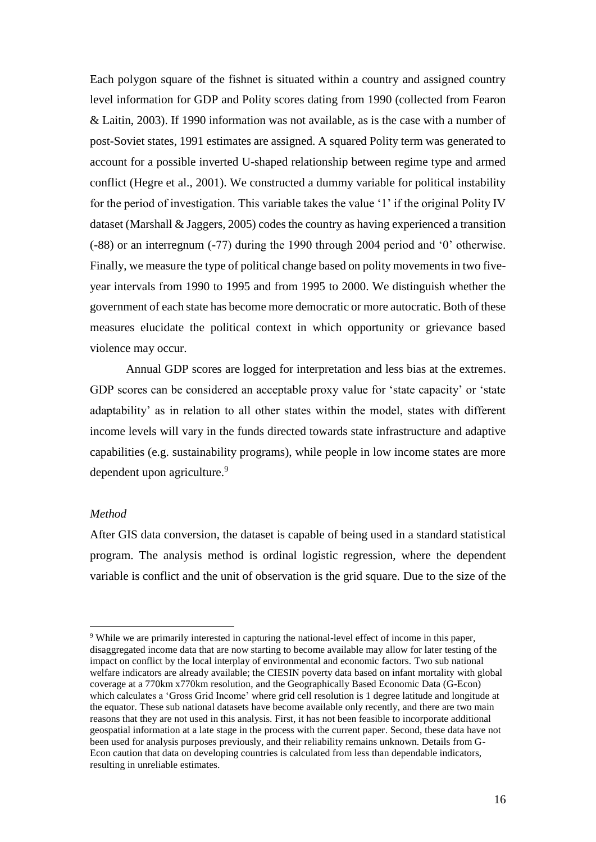Each polygon square of the fishnet is situated within a country and assigned country level information for GDP and Polity scores dating from 1990 (collected from Fearon & Laitin, 2003). If 1990 information was not available, as is the case with a number of post-Soviet states, 1991 estimates are assigned. A squared Polity term was generated to account for a possible inverted U-shaped relationship between regime type and armed conflict (Hegre et al., 2001). We constructed a dummy variable for political instability for the period of investigation. This variable takes the value '1' if the original Polity IV dataset (Marshall & Jaggers, 2005) codes the country as having experienced a transition (-88) or an interregnum (-77) during the 1990 through 2004 period and '0' otherwise. Finally, we measure the type of political change based on polity movements in two fiveyear intervals from 1990 to 1995 and from 1995 to 2000. We distinguish whether the government of each state has become more democratic or more autocratic. Both of these measures elucidate the political context in which opportunity or grievance based violence may occur.

Annual GDP scores are logged for interpretation and less bias at the extremes. GDP scores can be considered an acceptable proxy value for 'state capacity' or 'state adaptability' as in relation to all other states within the model, states with different income levels will vary in the funds directed towards state infrastructure and adaptive capabilities (e.g. sustainability programs), while people in low income states are more dependent upon agriculture.<sup>9</sup>

#### *Method*

 $\overline{a}$ 

After GIS data conversion, the dataset is capable of being used in a standard statistical program. The analysis method is ordinal logistic regression, where the dependent variable is conflict and the unit of observation is the grid square. Due to the size of the

<sup>9</sup> While we are primarily interested in capturing the national-level effect of income in this paper, disaggregated income data that are now starting to become available may allow for later testing of the impact on conflict by the local interplay of environmental and economic factors. Two sub national welfare indicators are already available; the CIESIN poverty data based on infant mortality with global coverage at a 770km x770km resolution, and the Geographically Based Economic Data (G-Econ) which calculates a 'Gross Grid Income' where grid cell resolution is 1 degree latitude and longitude at the equator. These sub national datasets have become available only recently, and there are two main reasons that they are not used in this analysis. First, it has not been feasible to incorporate additional geospatial information at a late stage in the process with the current paper. Second, these data have not been used for analysis purposes previously, and their reliability remains unknown. Details from G-Econ caution that data on developing countries is calculated from less than dependable indicators, resulting in unreliable estimates.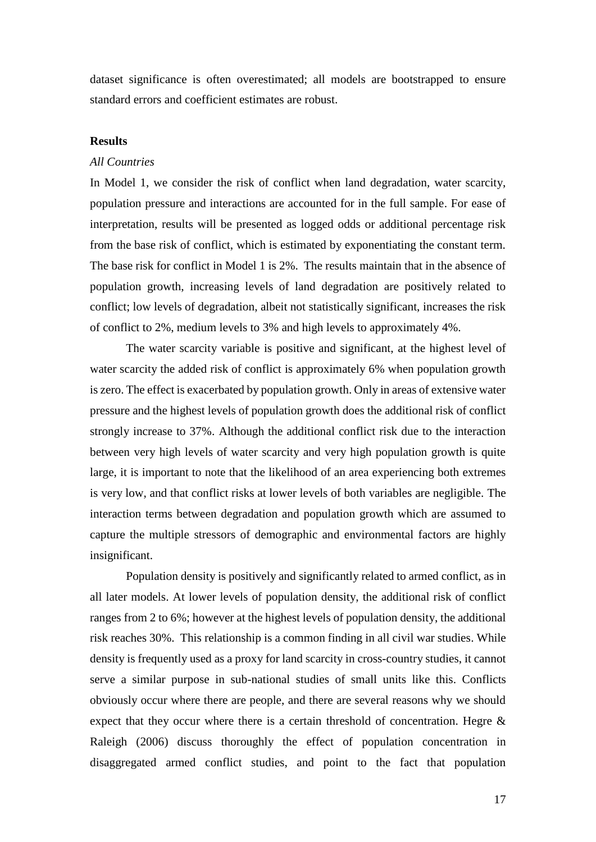dataset significance is often overestimated; all models are bootstrapped to ensure standard errors and coefficient estimates are robust.

# **Results**

#### *All Countries*

In Model 1, we consider the risk of conflict when land degradation, water scarcity, population pressure and interactions are accounted for in the full sample. For ease of interpretation, results will be presented as logged odds or additional percentage risk from the base risk of conflict, which is estimated by exponentiating the constant term. The base risk for conflict in Model 1 is 2%. The results maintain that in the absence of population growth, increasing levels of land degradation are positively related to conflict; low levels of degradation, albeit not statistically significant, increases the risk of conflict to 2%, medium levels to 3% and high levels to approximately 4%.

The water scarcity variable is positive and significant, at the highest level of water scarcity the added risk of conflict is approximately 6% when population growth is zero. The effect is exacerbated by population growth. Only in areas of extensive water pressure and the highest levels of population growth does the additional risk of conflict strongly increase to 37%. Although the additional conflict risk due to the interaction between very high levels of water scarcity and very high population growth is quite large, it is important to note that the likelihood of an area experiencing both extremes is very low, and that conflict risks at lower levels of both variables are negligible. The interaction terms between degradation and population growth which are assumed to capture the multiple stressors of demographic and environmental factors are highly insignificant.

Population density is positively and significantly related to armed conflict, as in all later models. At lower levels of population density, the additional risk of conflict ranges from 2 to 6%; however at the highest levels of population density, the additional risk reaches 30%. This relationship is a common finding in all civil war studies. While density is frequently used as a proxy for land scarcity in cross-country studies, it cannot serve a similar purpose in sub-national studies of small units like this. Conflicts obviously occur where there are people, and there are several reasons why we should expect that they occur where there is a certain threshold of concentration. Hegre & Raleigh (2006) discuss thoroughly the effect of population concentration in disaggregated armed conflict studies, and point to the fact that population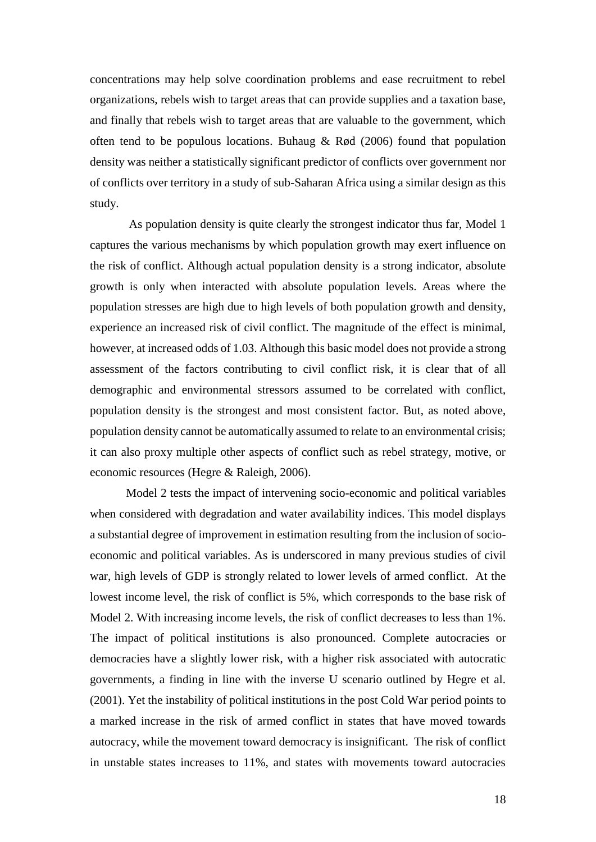concentrations may help solve coordination problems and ease recruitment to rebel organizations, rebels wish to target areas that can provide supplies and a taxation base, and finally that rebels wish to target areas that are valuable to the government, which often tend to be populous locations. Buhaug & Rød (2006) found that population density was neither a statistically significant predictor of conflicts over government nor of conflicts over territory in a study of sub-Saharan Africa using a similar design as this study.

As population density is quite clearly the strongest indicator thus far, Model 1 captures the various mechanisms by which population growth may exert influence on the risk of conflict. Although actual population density is a strong indicator, absolute growth is only when interacted with absolute population levels. Areas where the population stresses are high due to high levels of both population growth and density, experience an increased risk of civil conflict. The magnitude of the effect is minimal, however, at increased odds of 1.03. Although this basic model does not provide a strong assessment of the factors contributing to civil conflict risk, it is clear that of all demographic and environmental stressors assumed to be correlated with conflict, population density is the strongest and most consistent factor. But, as noted above, population density cannot be automatically assumed to relate to an environmental crisis; it can also proxy multiple other aspects of conflict such as rebel strategy, motive, or economic resources (Hegre & Raleigh, 2006).

Model 2 tests the impact of intervening socio-economic and political variables when considered with degradation and water availability indices. This model displays a substantial degree of improvement in estimation resulting from the inclusion of socioeconomic and political variables. As is underscored in many previous studies of civil war, high levels of GDP is strongly related to lower levels of armed conflict. At the lowest income level, the risk of conflict is 5%, which corresponds to the base risk of Model 2. With increasing income levels, the risk of conflict decreases to less than 1%. The impact of political institutions is also pronounced. Complete autocracies or democracies have a slightly lower risk, with a higher risk associated with autocratic governments, a finding in line with the inverse U scenario outlined by Hegre et al. (2001). Yet the instability of political institutions in the post Cold War period points to a marked increase in the risk of armed conflict in states that have moved towards autocracy, while the movement toward democracy is insignificant. The risk of conflict in unstable states increases to 11%, and states with movements toward autocracies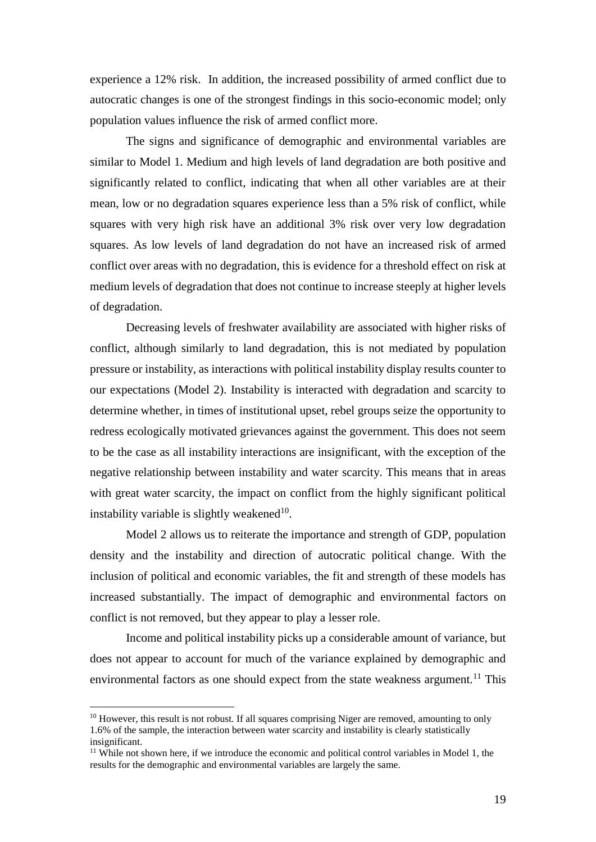experience a 12% risk. In addition, the increased possibility of armed conflict due to autocratic changes is one of the strongest findings in this socio-economic model; only population values influence the risk of armed conflict more.

The signs and significance of demographic and environmental variables are similar to Model 1. Medium and high levels of land degradation are both positive and significantly related to conflict, indicating that when all other variables are at their mean, low or no degradation squares experience less than a 5% risk of conflict, while squares with very high risk have an additional 3% risk over very low degradation squares. As low levels of land degradation do not have an increased risk of armed conflict over areas with no degradation, this is evidence for a threshold effect on risk at medium levels of degradation that does not continue to increase steeply at higher levels of degradation.

Decreasing levels of freshwater availability are associated with higher risks of conflict, although similarly to land degradation, this is not mediated by population pressure or instability, as interactions with political instability display results counter to our expectations (Model 2). Instability is interacted with degradation and scarcity to determine whether, in times of institutional upset, rebel groups seize the opportunity to redress ecologically motivated grievances against the government. This does not seem to be the case as all instability interactions are insignificant, with the exception of the negative relationship between instability and water scarcity. This means that in areas with great water scarcity, the impact on conflict from the highly significant political instability variable is slightly weakened<sup>10</sup>.

Model 2 allows us to reiterate the importance and strength of GDP, population density and the instability and direction of autocratic political change. With the inclusion of political and economic variables, the fit and strength of these models has increased substantially. The impact of demographic and environmental factors on conflict is not removed, but they appear to play a lesser role.

Income and political instability picks up a considerable amount of variance, but does not appear to account for much of the variance explained by demographic and environmental factors as one should expect from the state weakness argument.<sup>11</sup> This

 $\overline{a}$ 

 $10$  However, this result is not robust. If all squares comprising Niger are removed, amounting to only 1.6% of the sample, the interaction between water scarcity and instability is clearly statistically insignificant.

 $11$  While not shown here, if we introduce the economic and political control variables in Model 1, the results for the demographic and environmental variables are largely the same.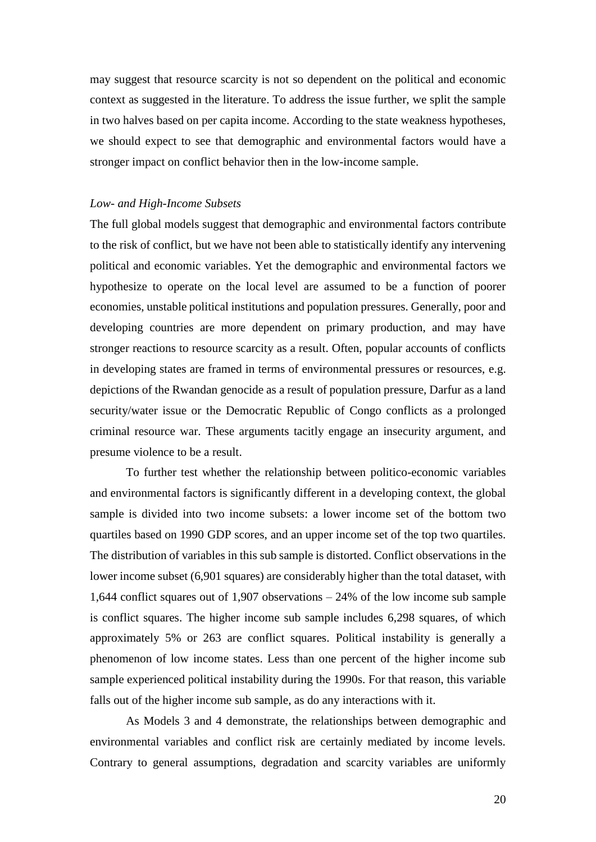may suggest that resource scarcity is not so dependent on the political and economic context as suggested in the literature. To address the issue further, we split the sample in two halves based on per capita income. According to the state weakness hypotheses, we should expect to see that demographic and environmental factors would have a stronger impact on conflict behavior then in the low-income sample.

#### *Low- and High-Income Subsets*

The full global models suggest that demographic and environmental factors contribute to the risk of conflict, but we have not been able to statistically identify any intervening political and economic variables. Yet the demographic and environmental factors we hypothesize to operate on the local level are assumed to be a function of poorer economies, unstable political institutions and population pressures. Generally, poor and developing countries are more dependent on primary production, and may have stronger reactions to resource scarcity as a result. Often, popular accounts of conflicts in developing states are framed in terms of environmental pressures or resources, e.g. depictions of the Rwandan genocide as a result of population pressure, Darfur as a land security/water issue or the Democratic Republic of Congo conflicts as a prolonged criminal resource war. These arguments tacitly engage an insecurity argument, and presume violence to be a result.

To further test whether the relationship between politico-economic variables and environmental factors is significantly different in a developing context, the global sample is divided into two income subsets: a lower income set of the bottom two quartiles based on 1990 GDP scores, and an upper income set of the top two quartiles. The distribution of variables in this sub sample is distorted. Conflict observations in the lower income subset (6,901 squares) are considerably higher than the total dataset, with 1,644 conflict squares out of 1,907 observations – 24% of the low income sub sample is conflict squares. The higher income sub sample includes 6,298 squares, of which approximately 5% or 263 are conflict squares. Political instability is generally a phenomenon of low income states. Less than one percent of the higher income sub sample experienced political instability during the 1990s. For that reason, this variable falls out of the higher income sub sample, as do any interactions with it.

As Models 3 and 4 demonstrate, the relationships between demographic and environmental variables and conflict risk are certainly mediated by income levels. Contrary to general assumptions, degradation and scarcity variables are uniformly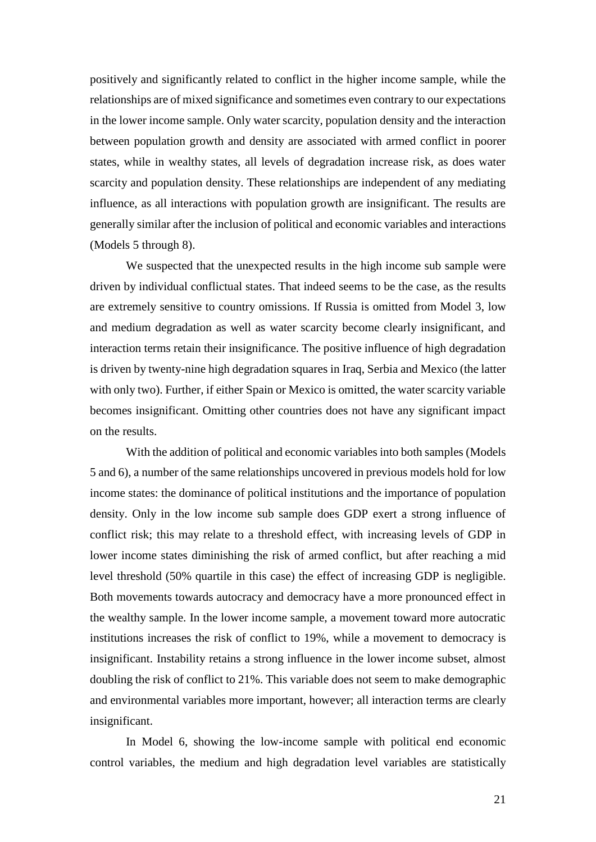positively and significantly related to conflict in the higher income sample, while the relationships are of mixed significance and sometimes even contrary to our expectations in the lower income sample. Only water scarcity, population density and the interaction between population growth and density are associated with armed conflict in poorer states, while in wealthy states, all levels of degradation increase risk, as does water scarcity and population density. These relationships are independent of any mediating influence, as all interactions with population growth are insignificant. The results are generally similar after the inclusion of political and economic variables and interactions (Models 5 through 8).

We suspected that the unexpected results in the high income sub sample were driven by individual conflictual states. That indeed seems to be the case, as the results are extremely sensitive to country omissions. If Russia is omitted from Model 3, low and medium degradation as well as water scarcity become clearly insignificant, and interaction terms retain their insignificance. The positive influence of high degradation is driven by twenty-nine high degradation squares in Iraq, Serbia and Mexico (the latter with only two). Further, if either Spain or Mexico is omitted, the water scarcity variable becomes insignificant. Omitting other countries does not have any significant impact on the results.

With the addition of political and economic variables into both samples (Models 5 and 6), a number of the same relationships uncovered in previous models hold for low income states: the dominance of political institutions and the importance of population density. Only in the low income sub sample does GDP exert a strong influence of conflict risk; this may relate to a threshold effect, with increasing levels of GDP in lower income states diminishing the risk of armed conflict, but after reaching a mid level threshold (50% quartile in this case) the effect of increasing GDP is negligible. Both movements towards autocracy and democracy have a more pronounced effect in the wealthy sample. In the lower income sample, a movement toward more autocratic institutions increases the risk of conflict to 19%, while a movement to democracy is insignificant. Instability retains a strong influence in the lower income subset, almost doubling the risk of conflict to 21%. This variable does not seem to make demographic and environmental variables more important, however; all interaction terms are clearly insignificant.

In Model 6, showing the low-income sample with political end economic control variables, the medium and high degradation level variables are statistically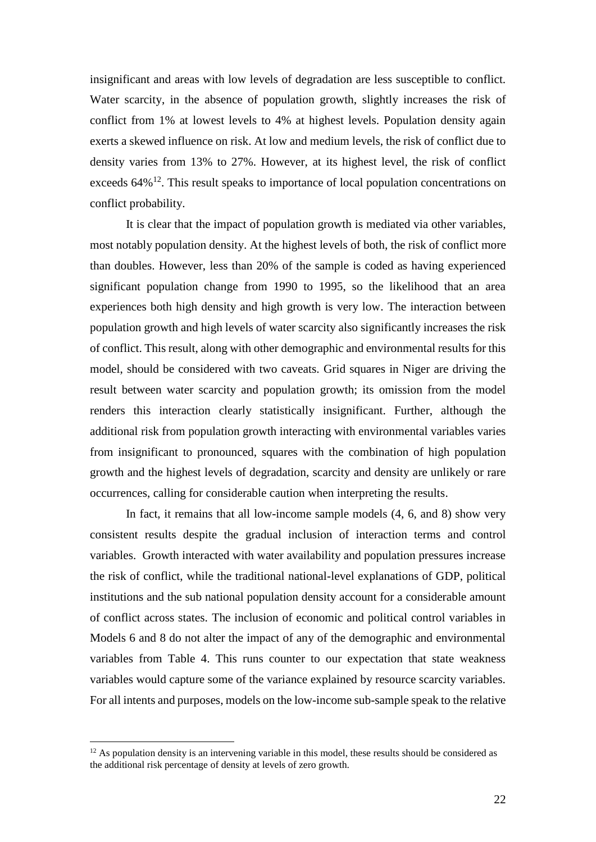insignificant and areas with low levels of degradation are less susceptible to conflict. Water scarcity, in the absence of population growth, slightly increases the risk of conflict from 1% at lowest levels to 4% at highest levels. Population density again exerts a skewed influence on risk. At low and medium levels, the risk of conflict due to density varies from 13% to 27%. However, at its highest level, the risk of conflict exceeds 64%<sup>12</sup>. This result speaks to importance of local population concentrations on conflict probability.

It is clear that the impact of population growth is mediated via other variables, most notably population density. At the highest levels of both, the risk of conflict more than doubles. However, less than 20% of the sample is coded as having experienced significant population change from 1990 to 1995, so the likelihood that an area experiences both high density and high growth is very low. The interaction between population growth and high levels of water scarcity also significantly increases the risk of conflict. This result, along with other demographic and environmental results for this model, should be considered with two caveats. Grid squares in Niger are driving the result between water scarcity and population growth; its omission from the model renders this interaction clearly statistically insignificant. Further, although the additional risk from population growth interacting with environmental variables varies from insignificant to pronounced, squares with the combination of high population growth and the highest levels of degradation, scarcity and density are unlikely or rare occurrences, calling for considerable caution when interpreting the results.

In fact, it remains that all low-income sample models  $(4, 6,$  and 8) show very consistent results despite the gradual inclusion of interaction terms and control variables. Growth interacted with water availability and population pressures increase the risk of conflict, while the traditional national-level explanations of GDP, political institutions and the sub national population density account for a considerable amount of conflict across states. The inclusion of economic and political control variables in Models 6 and 8 do not alter the impact of any of the demographic and environmental variables from Table 4. This runs counter to our expectation that state weakness variables would capture some of the variance explained by resource scarcity variables. For all intents and purposes, models on the low-income sub-sample speak to the relative

 $12$  As population density is an intervening variable in this model, these results should be considered as the additional risk percentage of density at levels of zero growth.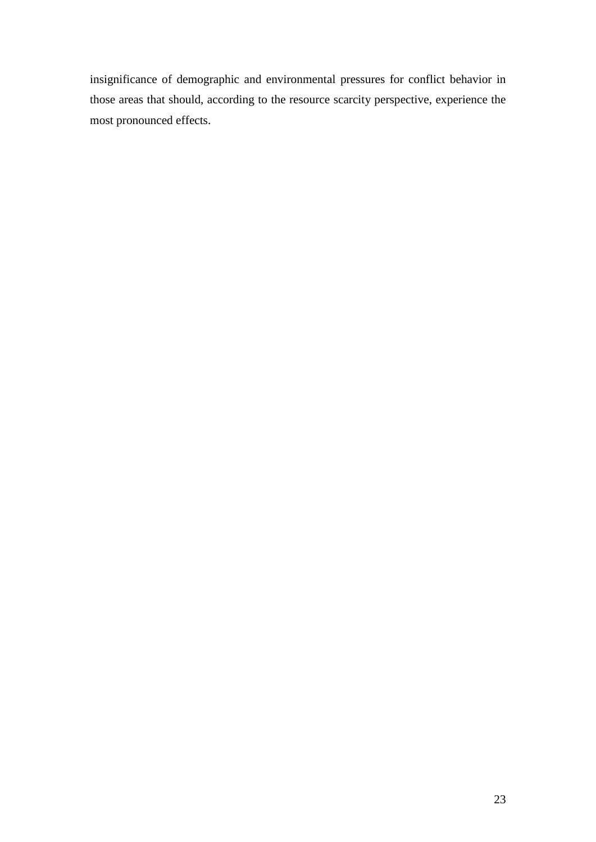insignificance of demographic and environmental pressures for conflict behavior in those areas that should, according to the resource scarcity perspective, experience the most pronounced effects.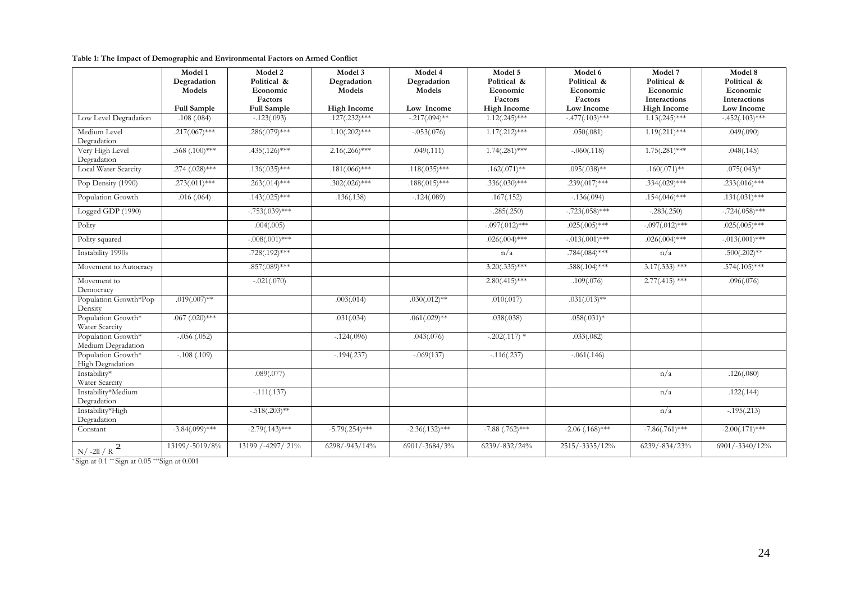|                                          | Model 1<br>Degradation       | Model 2<br>Political &                    | Model 3<br>Degradation       | Model 4<br>Degradation | Model 5<br>Political &                    | Model 6<br>Political &            | Model 7<br>Political &                         | Model 8<br>Political &                        |
|------------------------------------------|------------------------------|-------------------------------------------|------------------------------|------------------------|-------------------------------------------|-----------------------------------|------------------------------------------------|-----------------------------------------------|
|                                          | Models<br><b>Full Sample</b> | Economic<br>Factors<br><b>Full Sample</b> | Models<br><b>High Income</b> | Models<br>Low Income   | Economic<br>Factors<br><b>High Income</b> | Economic<br>Factors<br>Low Income | Economic<br>Interactions<br><b>High Income</b> | Economic<br><b>Interactions</b><br>Low Income |
| Low Level Degradation                    | .108(.084)                   | $-.123(.093)$                             | $.127(.232)***$              | $-217(.094)$ **        | $1.12(.245)***$                           | $-.477(.103)$ ***                 | $1.13(.245)***$                                | $-452(.103)***$                               |
| Medium Level<br>Degradation              | $.217(.067)$ ***             | $.286(.079)$ ***                          | $1.10(.202)$ ***             | $-.053(.076)$          | $1.17(.212)$ ***                          | .050(.081)                        | $1.19(.211)***$                                | .049(.090)                                    |
| Very High Level<br>Degradation           | $.568(.100)$ ***             | $.435(.126)***$                           | $2.16(.266)$ ***             | .049(.111)             | $1.74(.281)$ ***                          | $-.060(.118)$                     | $1.75(.281)***$                                | .048(.145)                                    |
| Local Water Scarcity                     | $.274(.028)$ ***             | $.136(.035)***$                           | $.181(.066)***$              | $.118(.035)***$        | $.162(.071)$ **                           | $.095(.038)$ **                   | $.160(.071)$ **                                | $.075(.043)*$                                 |
| Pop Density (1990)                       | $.273(.011)$ ***             | $.263(.014)$ ***                          | $.302(.026)$ ***             | $.188(.015)$ ***       | $.336(.030)$ ***                          | $.239(.017)$ ***                  | $.334(.029)$ ***                               | $.233(.016)$ ***                              |
| Population Growth                        | .016(.064)                   | $.143(.025)***$                           | .136(.138)                   | $-.124(.089)$          | .167(.152)                                | $-.136(.094)$                     | $.154(.046)$ ***                               | $.131(.031)$ ***                              |
| Logged GDP (1990)                        |                              | $-.753(.039)$ ***                         |                              |                        | $-.285(.250)$                             | $-.723(.058)$ ***                 | $-.283(.250)$                                  | $-.724(.058)***$                              |
| Polity                                   |                              | .004(.005)                                |                              |                        | $-.097(.012)$ ***                         | $.025(.005)$ ***                  | $-0.097(0.012)$ ***                            | $.025(.005)$ ***                              |
| Polity squared                           |                              | $-.008(.001)$ ***                         |                              |                        | $.026(.004)$ ***                          | $-.013(.001)$ ***                 | $.026(.004)$ ***                               | $-.013(.001)$ ***                             |
| Instability 1990s                        |                              | $.728(.192)$ ***                          |                              |                        | n/a                                       | $.784(.084)***$                   | n/a                                            | $.500(.202)$ **                               |
| Movement to Autocracy                    |                              | $.857(.089)$ ***                          |                              |                        | $3.20(.335)***$                           | $.588(.104)$ ***                  | $3.17(.333)$ ***                               | $.574(.105)***$                               |
| Movement to<br>Democracy                 |                              | $-.021(.070)$                             |                              |                        | $2.80(.415)$ ***                          | .109(.076)                        | $2.77(.415)$ ***                               | .096(.076)                                    |
| Population Growth*Pop<br>Density         | $.019(.007)$ **              |                                           | .003(.014)                   | $.030(.012)$ **        | .010(.017)                                | $.031(.013)$ **                   |                                                |                                               |
| Population Growth*<br>Water Scarcity     | $.067$ $(.020)$ ***          |                                           | .031(.034)                   | $.061(.029)$ **        | .038(.038)                                | $.058(.031)*$                     |                                                |                                               |
| Population Growth*<br>Medium Degradation | $-.056(.052)$                |                                           | $-.124(.096)$                | .043(.076)             | $-.202(.117)$ *                           | .033(.082)                        |                                                |                                               |
| Population Growth*<br>High Degradation   | $-.108(.109)$                |                                           | $-.194(.237)$                | $-.069(137)$           | $-.116(.237)$                             | $-.061(.146)$                     |                                                |                                               |
| Instability*<br>Water Scarcity           |                              | .089(.077)                                |                              |                        |                                           |                                   | n/a                                            | .126(.080)                                    |
| Instability*Medium<br>Degradation        |                              | $-.111(.137)$                             |                              |                        |                                           |                                   | n/a                                            | .122(.144)                                    |
| Instability*High<br>Degradation          |                              | $-0.518(.203)$ **                         |                              |                        |                                           |                                   | n/a                                            | $-0.195(.213)$                                |
| Constant                                 | $-3.84(.099)$ ***            | $-2.79(.143)***$                          | $-5.79(.254)***$             | $-2.36(.132)***$       | $-7.88$ $(.762)***$                       | $-2.06$ (.168)***                 | $-7.86(.761)$ ***                              | $-2.00(.171)$ ***                             |
| 2<br>$\rm N/$ -2ll / $\rm R$             | 13199/-5019/8%               | 13199 /-4297/ 21%                         | 6298/-943/14%                | 6901/-3684/3%          | $6239/-832/24%$                           | 2515/-3335/12%                    | 6239/-834/23%                                  | 6901/-3340/12%                                |

\* Sign at 0.1 \*\* Sign at 0.05 \*\*\*Sign at 0.001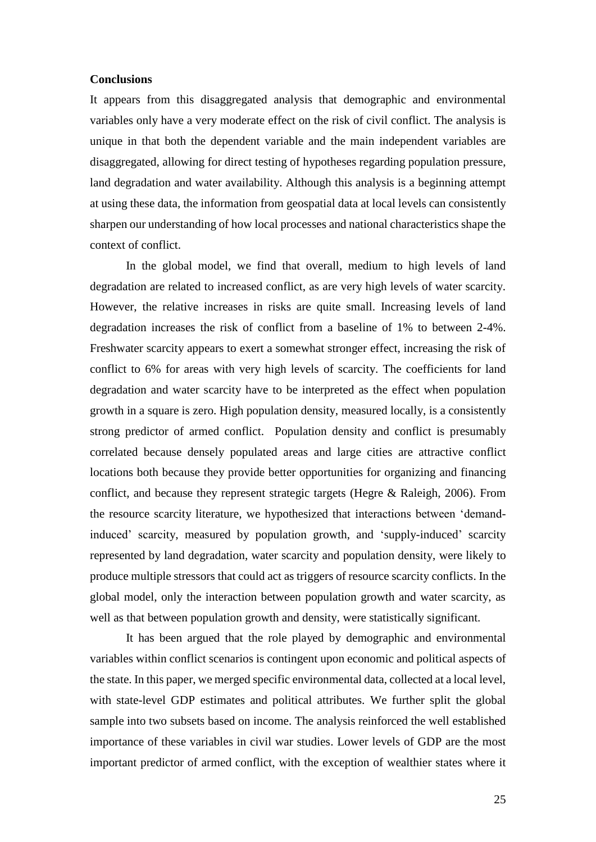#### **Conclusions**

It appears from this disaggregated analysis that demographic and environmental variables only have a very moderate effect on the risk of civil conflict. The analysis is unique in that both the dependent variable and the main independent variables are disaggregated, allowing for direct testing of hypotheses regarding population pressure, land degradation and water availability. Although this analysis is a beginning attempt at using these data, the information from geospatial data at local levels can consistently sharpen our understanding of how local processes and national characteristics shape the context of conflict.

In the global model, we find that overall, medium to high levels of land degradation are related to increased conflict, as are very high levels of water scarcity. However, the relative increases in risks are quite small. Increasing levels of land degradation increases the risk of conflict from a baseline of 1% to between 2-4%. Freshwater scarcity appears to exert a somewhat stronger effect, increasing the risk of conflict to 6% for areas with very high levels of scarcity. The coefficients for land degradation and water scarcity have to be interpreted as the effect when population growth in a square is zero. High population density, measured locally, is a consistently strong predictor of armed conflict. Population density and conflict is presumably correlated because densely populated areas and large cities are attractive conflict locations both because they provide better opportunities for organizing and financing conflict, and because they represent strategic targets (Hegre & Raleigh, 2006). From the resource scarcity literature, we hypothesized that interactions between 'demandinduced' scarcity, measured by population growth, and 'supply-induced' scarcity represented by land degradation, water scarcity and population density, were likely to produce multiple stressors that could act as triggers of resource scarcity conflicts. In the global model, only the interaction between population growth and water scarcity, as well as that between population growth and density, were statistically significant.

It has been argued that the role played by demographic and environmental variables within conflict scenarios is contingent upon economic and political aspects of the state. In this paper, we merged specific environmental data, collected at a local level, with state-level GDP estimates and political attributes. We further split the global sample into two subsets based on income. The analysis reinforced the well established importance of these variables in civil war studies. Lower levels of GDP are the most important predictor of armed conflict, with the exception of wealthier states where it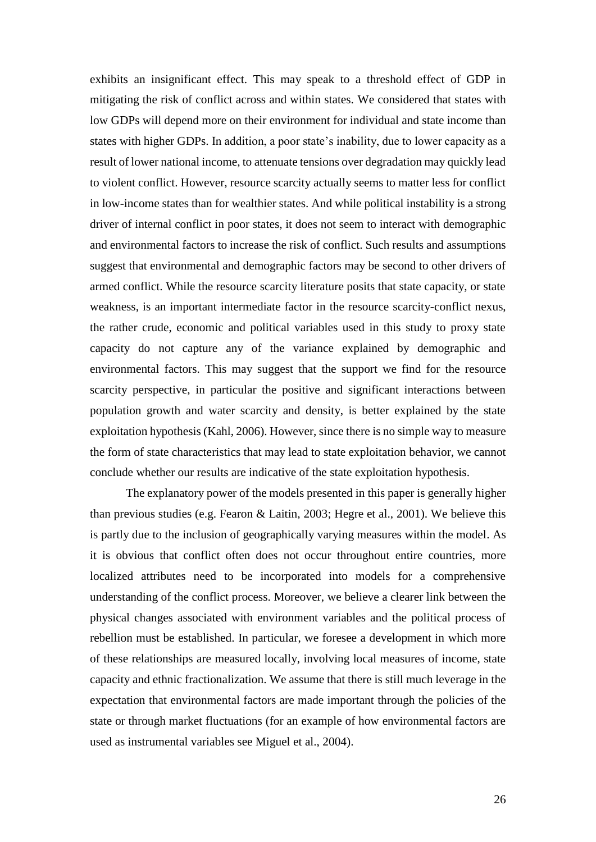exhibits an insignificant effect. This may speak to a threshold effect of GDP in mitigating the risk of conflict across and within states. We considered that states with low GDPs will depend more on their environment for individual and state income than states with higher GDPs. In addition, a poor state's inability, due to lower capacity as a result of lower national income, to attenuate tensions over degradation may quickly lead to violent conflict. However, resource scarcity actually seems to matter less for conflict in low-income states than for wealthier states. And while political instability is a strong driver of internal conflict in poor states, it does not seem to interact with demographic and environmental factors to increase the risk of conflict. Such results and assumptions suggest that environmental and demographic factors may be second to other drivers of armed conflict. While the resource scarcity literature posits that state capacity, or state weakness, is an important intermediate factor in the resource scarcity-conflict nexus, the rather crude, economic and political variables used in this study to proxy state capacity do not capture any of the variance explained by demographic and environmental factors. This may suggest that the support we find for the resource scarcity perspective, in particular the positive and significant interactions between population growth and water scarcity and density, is better explained by the state exploitation hypothesis (Kahl, 2006). However, since there is no simple way to measure the form of state characteristics that may lead to state exploitation behavior, we cannot conclude whether our results are indicative of the state exploitation hypothesis.

The explanatory power of the models presented in this paper is generally higher than previous studies (e.g. Fearon & Laitin, 2003; Hegre et al., 2001). We believe this is partly due to the inclusion of geographically varying measures within the model. As it is obvious that conflict often does not occur throughout entire countries, more localized attributes need to be incorporated into models for a comprehensive understanding of the conflict process. Moreover, we believe a clearer link between the physical changes associated with environment variables and the political process of rebellion must be established. In particular, we foresee a development in which more of these relationships are measured locally, involving local measures of income, state capacity and ethnic fractionalization. We assume that there is still much leverage in the expectation that environmental factors are made important through the policies of the state or through market fluctuations (for an example of how environmental factors are used as instrumental variables see Miguel et al., 2004).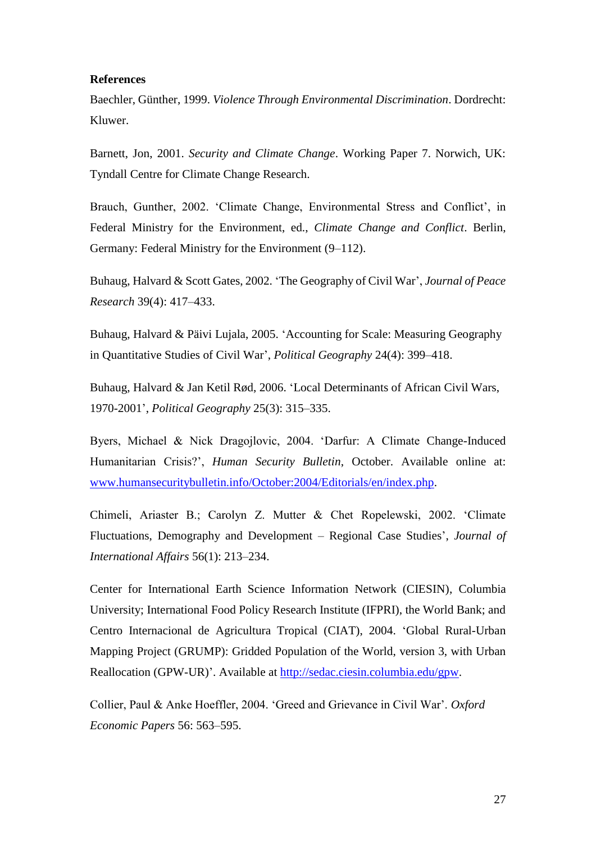#### **References**

Baechler, Günther, 1999. *Violence Through Environmental Discrimination*. Dordrecht: Kluwer.

Barnett, Jon, 2001. *Security and Climate Change*. Working Paper 7. Norwich, UK: Tyndall Centre for Climate Change Research.

Brauch, Gunther, 2002. 'Climate Change, Environmental Stress and Conflict', in Federal Ministry for the Environment, ed., *Climate Change and Conflict*. Berlin, Germany: Federal Ministry for the Environment (9–112).

Buhaug, Halvard & Scott Gates, 2002. 'The Geography of Civil War', *Journal of Peace Research* 39(4): 417–433.

Buhaug, Halvard & Päivi Lujala, 2005. ['Accounting](http://www.prio.no/page/Publication_details/9429/47785.html) for Scale: Measuring Geography in Quantitative Studies of Civil War', *Political Geography* 24(4): 399–418.

Buhaug, Halvard & Jan Ketil Rød, 2006. ['Local Determinants of African Civil Wars,](http://www.prio.no/page/Publication_details/9429/47785.html)  [1970-2001'](http://www.prio.no/page/Publication_details/9429/47785.html), *Political Geography* 25(3): 315–335.

Byers, Michael & Nick Dragojlovic, 2004. 'Darfur: A Climate Change-Induced Humanitarian Crisis?', *Human Security Bulletin*, October. Available online at: [www.humansecuritybulletin.info/October:2004/Editorials/en/index.php.](http://www.humansecuritybulletin.info/October:2004/Editorials/en/index.php)

Chimeli, Ariaster B.; Carolyn Z. Mutter & Chet Ropelewski, 2002. 'Climate Fluctuations, Demography and Development – Regional Case Studies', *Journal of International Affairs* 56(1): 213–234.

Center for International Earth Science Information Network (CIESIN), Columbia University; International Food Policy Research Institute (IFPRI), the World Bank; and Centro Internacional de Agricultura Tropical (CIAT), 2004. 'Global Rural-Urban Mapping Project (GRUMP): Gridded Population of the World, version 3, with Urban Reallocation (GPW-UR)'. Available at [http://sedac.ciesin.columbia.edu/gpw.](http://sedac.ciesin.columbia.edu/gpw)

Collier, Paul & Anke Hoeffler, 2004. 'Greed and Grievance in Civil War'. *Oxford Economic Papers* 56: 563–595.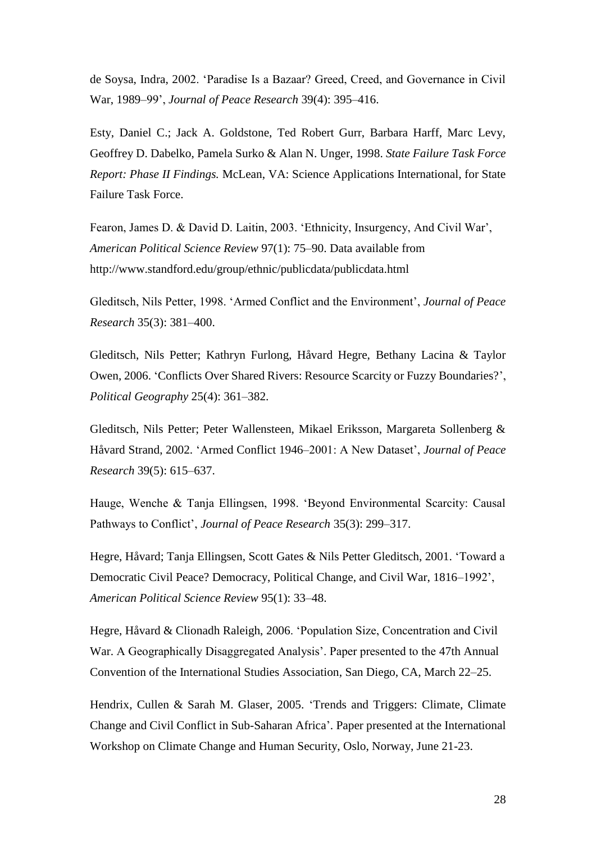de Soysa, Indra, 2002. 'Paradise Is a Bazaar? Greed, Creed, and Governance in Civil War, 1989–99', *Journal of Peace Research* 39(4): 395–416.

Esty, Daniel C.; Jack A. Goldstone, Ted Robert Gurr, Barbara Harff, Marc Levy, Geoffrey D. Dabelko, Pamela Surko & Alan N. Unger, 1998. *State Failure Task Force Report: Phase II Findings.* McLean, VA: Science Applications International, for State Failure Task Force.

Fearon, James D. & David D. Laitin, 2003. 'Ethnicity, Insurgency, And Civil War', *American Political Science Review* 97(1): 75–90. Data available from http://www.standford.edu/group/ethnic/publicdata/publicdata.html

Gleditsch, Nils Petter, 1998. 'Armed Conflict and the Environment', *Journal of Peace Research* 35(3): 381–400.

Gleditsch, Nils Petter; Kathryn Furlong, Håvard Hegre, Bethany Lacina & Taylor Owen, 2006. 'Conflicts Over Shared Rivers: Resource Scarcity or Fuzzy Boundaries?', *Political Geography* 25(4): 361–382.

Gleditsch, Nils Petter; Peter Wallensteen, Mikael Eriksson, Margareta Sollenberg & Håvard Strand, 2002. 'Armed Conflict 1946–2001: A New Dataset', *Journal of Peace Research* 39(5): 615–637.

Hauge, Wenche & Tanja Ellingsen, 1998. 'Beyond Environmental Scarcity: Causal Pathways to Conflict', *Journal of Peace Research* 35(3): 299–317.

Hegre, Håvard; Tanja Ellingsen, Scott Gates & Nils Petter Gleditsch, 2001. 'Toward a Democratic Civil Peace? Democracy, Political Change, and Civil War, 1816–1992', *American Political Science Review* 95(1): 33–48.

Hegre, Håvard & Clionadh Raleigh, 2006. 'Population Size, Concentration and Civil War. A Geographically Disaggregated Analysis'. Paper presented to the 47th Annual Convention of the International Studies Association, San Diego, CA, March 22–25.

Hendrix, Cullen & Sarah M. Glaser, 2005. 'Trends and Triggers: Climate, Climate Change and Civil Conflict in Sub-Saharan Africa'. Paper presented at the International Workshop on Climate Change and Human Security, Oslo, Norway, June 21-23.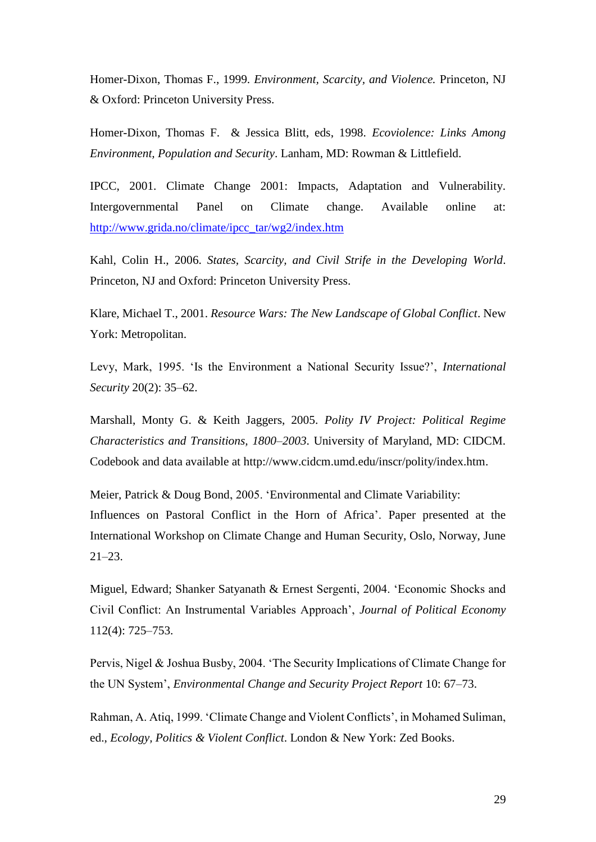Homer-Dixon, Thomas F., 1999. *Environment, Scarcity, and Violence.* Princeton, NJ & Oxford: Princeton University Press.

Homer-Dixon, Thomas F. & Jessica Blitt, eds, 1998. *Ecoviolence: Links Among Environment, Population and Security*. Lanham, MD: Rowman & Littlefield.

IPCC, 2001. Climate Change 2001: Impacts, Adaptation and Vulnerability. Intergovernmental Panel on Climate change. Available online at: [http://www.grida.no/climate/ipcc\\_tar/wg2/index.htm](http://www.grida.no/climate/ipcc_tar/wg2/index.htm)

Kahl, Colin H., 2006. *States, Scarcity, and Civil Strife in the Developing World*. Princeton, NJ and Oxford: Princeton University Press.

Klare, Michael T., 2001. *Resource Wars: The New Landscape of Global Conflict*. New York: Metropolitan.

Levy, Mark, 1995. 'Is the Environment a National Security Issue?', *International Security* 20(2): 35–62.

Marshall, Monty G. & Keith Jaggers, 2005. *Polity IV Project: Political Regime Characteristics and Transitions, 1800–2003*. University of Maryland, MD: CIDCM. Codebook and data available at http://www.cidcm.umd.edu/inscr/polity/index.htm.

Meier, Patrick & Doug Bond, 2005. 'Environmental and Climate Variability: Influences on Pastoral Conflict in the Horn of Africa'. Paper presented at the International Workshop on Climate Change and Human Security, Oslo, Norway, June 21–23.

Miguel, Edward; Shanker Satyanath & Ernest Sergenti, 2004. 'Economic Shocks and Civil Conflict: An Instrumental Variables Approach', *Journal of Political Economy* 112(4): 725–753.

Pervis, Nigel & Joshua Busby, 2004. 'The Security Implications of Climate Change for the UN System', *Environmental Change and Security Project Report* 10: 67–73.

Rahman, A. Atiq, 1999. 'Climate Change and Violent Conflicts', in Mohamed Suliman, ed., *Ecology, Politics & Violent Conflict*. London & New York: Zed Books.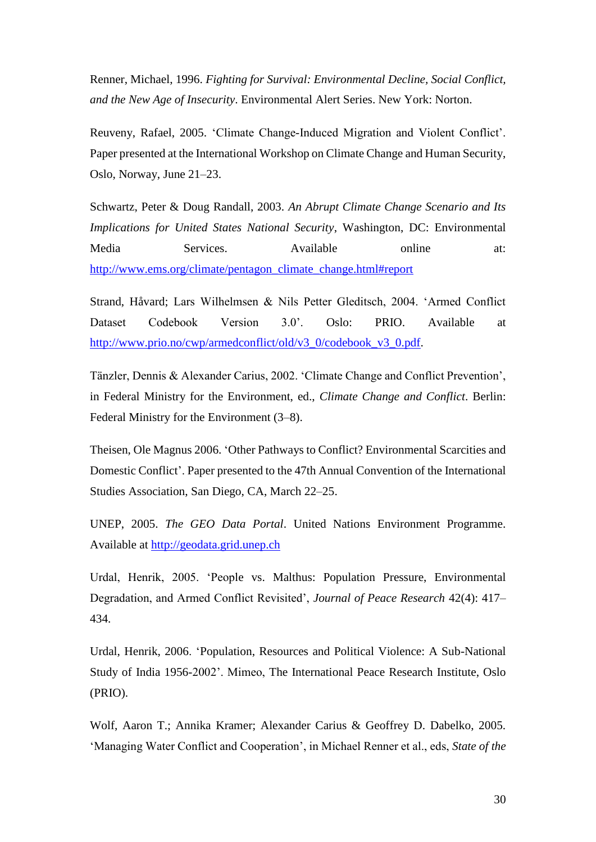Renner, Michael, 1996. *Fighting for Survival: Environmental Decline, Social Conflict, and the New Age of Insecurity*. Environmental Alert Series. New York: Norton.

Reuveny, Rafael, 2005. 'Climate Change-Induced Migration and Violent Conflict'. Paper presented at the International Workshop on Climate Change and Human Security, Oslo, Norway, June 21–23.

Schwartz, Peter & Doug Randall, 2003. *An Abrupt Climate Change Scenario and Its Implications for United States National Security*, Washington, DC: Environmental Media Services. Available online at: [http://www.ems.org/climate/pentagon\\_climate\\_change.html#report](http://www.ems.org/climate/pentagon_climate_change.html#report)

Strand, Håvard; Lars Wilhelmsen & Nils Petter Gleditsch, 2004. 'Armed Conflict Dataset Codebook Version 3.0'. Oslo: PRIO. Available at [http://www.prio.no/cwp/armedconflict/old/v3\\_0/codebook\\_v3\\_0.pdf.](http://www.prio.no/cwp/armedconflict/old/v3_0/codebook_v3_0.pdf)

Tänzler, Dennis & Alexander Carius, 2002. 'Climate Change and Conflict Prevention', in Federal Ministry for the Environment, ed., *Climate Change and Conflict*. Berlin: Federal Ministry for the Environment (3–8).

Theisen, Ole Magnus 2006. 'Other Pathways to Conflict? Environmental Scarcities and Domestic Conflict'. Paper presented to the 47th Annual Convention of the International Studies Association, San Diego, CA, March 22–25.

UNEP, 2005. *The GEO Data Portal*. United Nations Environment Programme. Available at [http://geodata.grid.unep.ch](http://geodata.grid.unep.ch/)

Urdal, Henrik, 2005. 'People vs. Malthus: Population Pressure, Environmental Degradation, and Armed Conflict Revisited', *Journal of Peace Research* 42(4): 417– 434.

Urdal, Henrik, 2006. 'Population, Resources and Political Violence: A Sub-National Study of India 1956-2002'. Mimeo, The International Peace Research Institute, Oslo (PRIO).

Wolf, Aaron T.; Annika Kramer; Alexander Carius & Geoffrey D. Dabelko, 2005. 'Managing Water Conflict and Cooperation', in Michael Renner et al., eds, *State of the*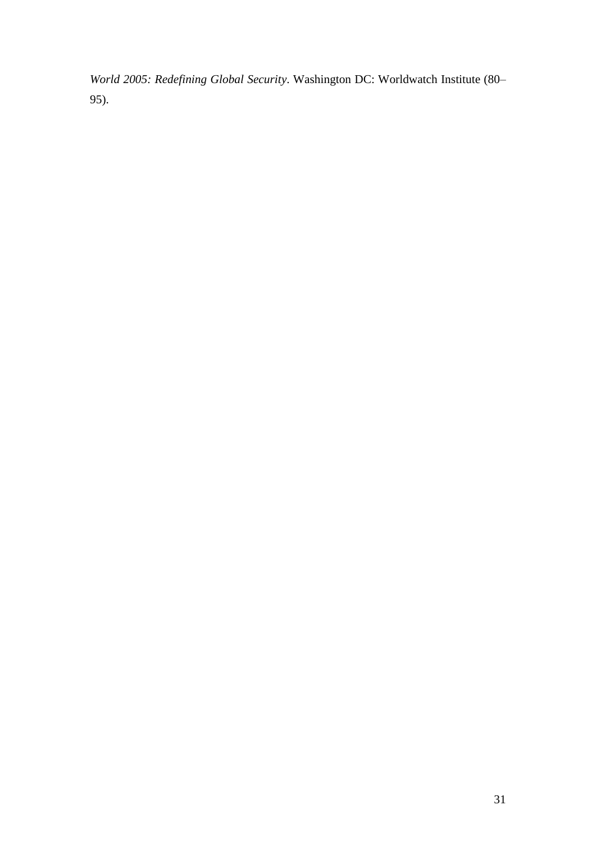*World 2005: Redefining Global Security*. Washington DC: Worldwatch Institute (80– 95).